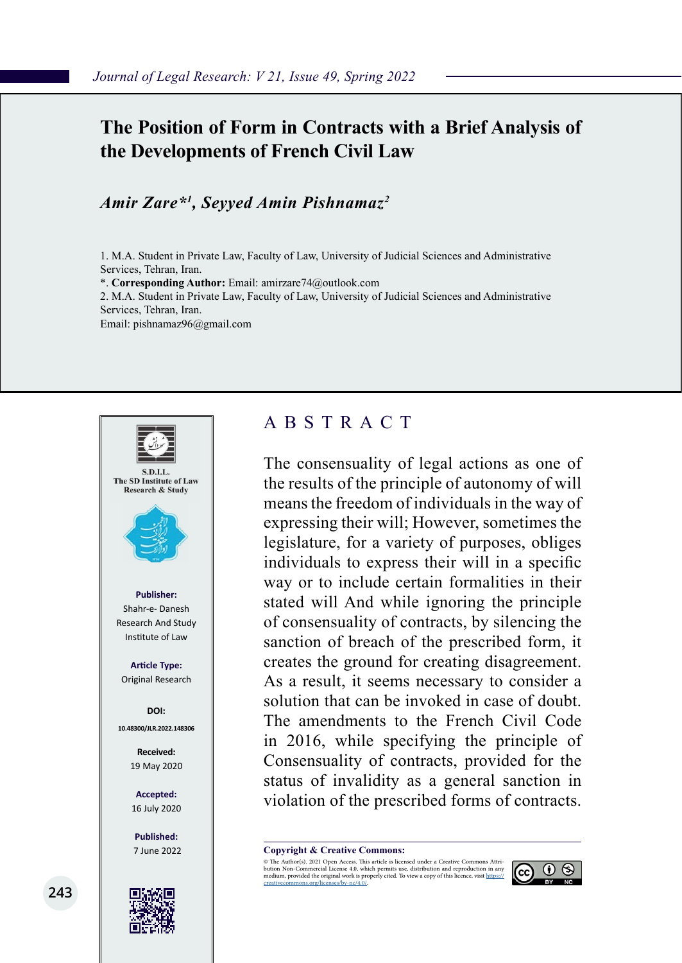## **The Position of Form in Contracts with a Brief Analysis of the Developments of French Civil Law**

#### *Amir Zare\*1 , Seyyed Amin Pishnamaz2*

1. M.A. Student in Private Law, Faculty of Law, University of Judicial Sciences and Administrative Services, Tehran, Iran.

\*. **Corresponding Author:** Email: amirzare74@outlook.com

2. M.A. Student in Private Law, Faculty of Law, University of Judicial Sciences and Administrative Services, Tehran, Iran.

Email: pishnamaz96@gmail.com



#### ABSTRACT

The consensuality of legal actions as one of the results of the principle of autonomy of will means the freedom of individuals in the way of expressing their will; However, sometimes the legislature, for a variety of purposes, obliges individuals to express their will in a specific way or to include certain formalities in their stated will And while ignoring the principle of consensuality of contracts, by silencing the sanction of breach of the prescribed form, it creates the ground for creating disagreement. As a result, it seems necessary to consider a solution that can be invoked in case of doubt. The amendments to the French Civil Code in 2016, while specifying the principle of Consensuality of contracts, provided for the status of invalidity as a general sanction in violation of the prescribed forms of contracts.

**Copyright & Creative Commons:**<br>© The Author(s). 2021 Open Access. This article is licensed under a Creative Commons Attri-

© The Author(s). 2021 Open Access. This article is licensed under a Creative Commons Attri- bution Non-Commercial License 4.0, which permits use, distribution and reproduction in any medium, provided the original work is properly cited. To view a copy of this licence, visit https://<br>creativecommons.org/licenses/by-nc/4.0/.

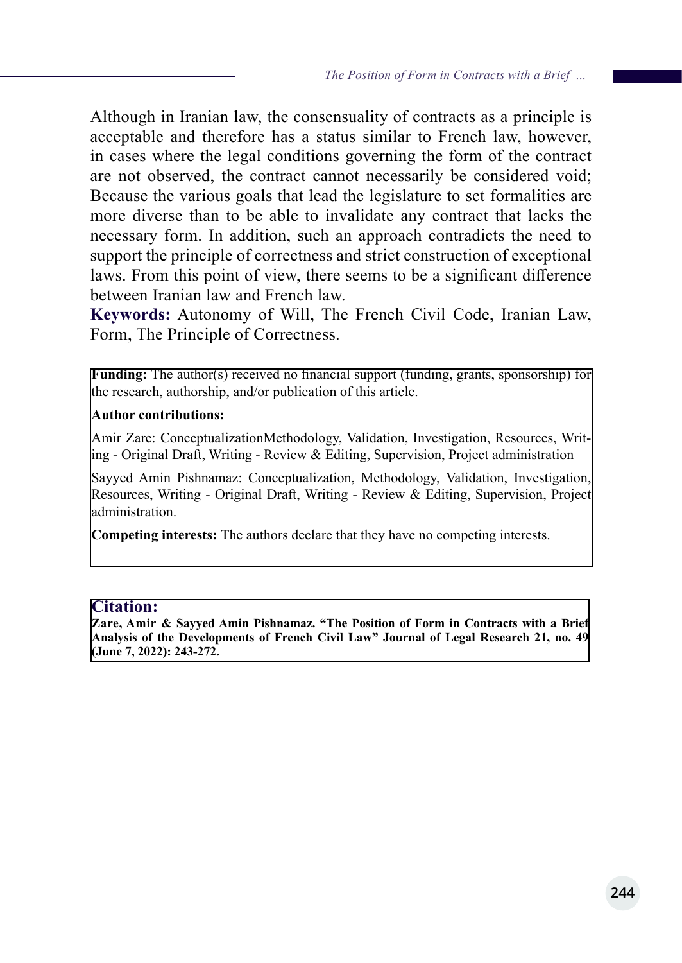Although in Iranian law, the consensuality of contracts as a principle is acceptable and therefore has a status similar to French law, however, in cases where the legal conditions governing the form of the contract are not observed, the contract cannot necessarily be considered void; Because the various goals that lead the legislature to set formalities are more diverse than to be able to invalidate any contract that lacks the necessary form. In addition, such an approach contradicts the need to support the principle of correctness and strict construction of exceptional laws. From this point of view, there seems to be a significant difference between Iranian law and French law.

**Keywords:** Autonomy of Will, The French Civil Code, Iranian Law, Form, The Principle of Correctness.

**Funding:** The author(s) received no financial support (funding, grants, sponsorship) for the research, authorship, and/or publication of this article.

#### **Author contributions:**

Amir Zare: ConceptualizationMethodology, Validation, Investigation, Resources, Writing - Original Draft, Writing - Review & Editing, Supervision, Project administration

Sayyed Amin Pishnamaz: Conceptualization, Methodology, Validation, Investigation, Resources, Writing - Original Draft, Writing - Review & Editing, Supervision, Project administration.

**Competing interests:** The authors declare that they have no competing interests.

#### **Citation:**

**Zare, Amir & Sayyed Amin Pishnamaz. "The Position of Form in Contracts with a Brief Analysis of the Developments of French Civil Law" Journal of Legal Research 21, no. 49 (June 7, 2022): 243-272.**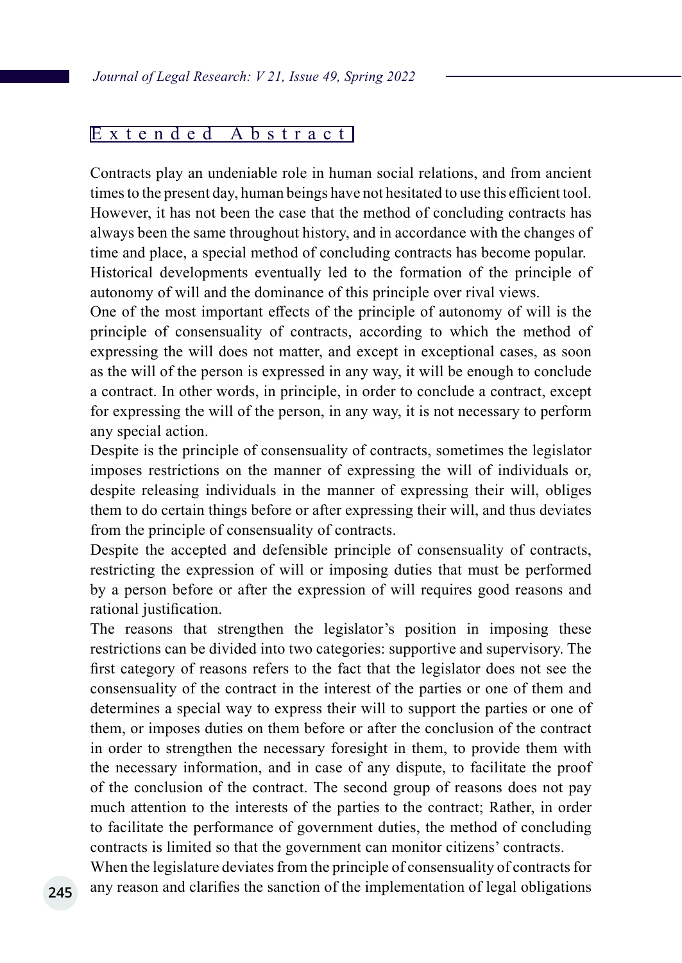#### Extended Abstract

Contracts play an undeniable role in human social relations, and from ancient times to the present day, human beings have not hesitated to use this efficient tool. However, it has not been the case that the method of concluding contracts has always been the same throughout history, and in accordance with the changes of time and place, a special method of concluding contracts has become popular. Historical developments eventually led to the formation of the principle of autonomy of will and the dominance of this principle over rival views.

One of the most important effects of the principle of autonomy of will is the principle of consensuality of contracts, according to which the method of expressing the will does not matter, and except in exceptional cases, as soon as the will of the person is expressed in any way, it will be enough to conclude a contract. In other words, in principle, in order to conclude a contract, except for expressing the will of the person, in any way, it is not necessary to perform any special action.

Despite is the principle of consensuality of contracts, sometimes the legislator imposes restrictions on the manner of expressing the will of individuals or, despite releasing individuals in the manner of expressing their will, obliges them to do certain things before or after expressing their will, and thus deviates from the principle of consensuality of contracts.

Despite the accepted and defensible principle of consensuality of contracts, restricting the expression of will or imposing duties that must be performed by a person before or after the expression of will requires good reasons and rational justification.

The reasons that strengthen the legislator's position in imposing these restrictions can be divided into two categories: supportive and supervisory. The first category of reasons refers to the fact that the legislator does not see the consensuality of the contract in the interest of the parties or one of them and determines a special way to express their will to support the parties or one of them, or imposes duties on them before or after the conclusion of the contract in order to strengthen the necessary foresight in them, to provide them with the necessary information, and in case of any dispute, to facilitate the proof of the conclusion of the contract. The second group of reasons does not pay much attention to the interests of the parties to the contract; Rather, in order to facilitate the performance of government duties, the method of concluding contracts is limited so that the government can monitor citizens' contracts.

When the legislature deviates from the principle of consensuality of contracts for any reason and clarifies the sanction of the implementation of legal obligations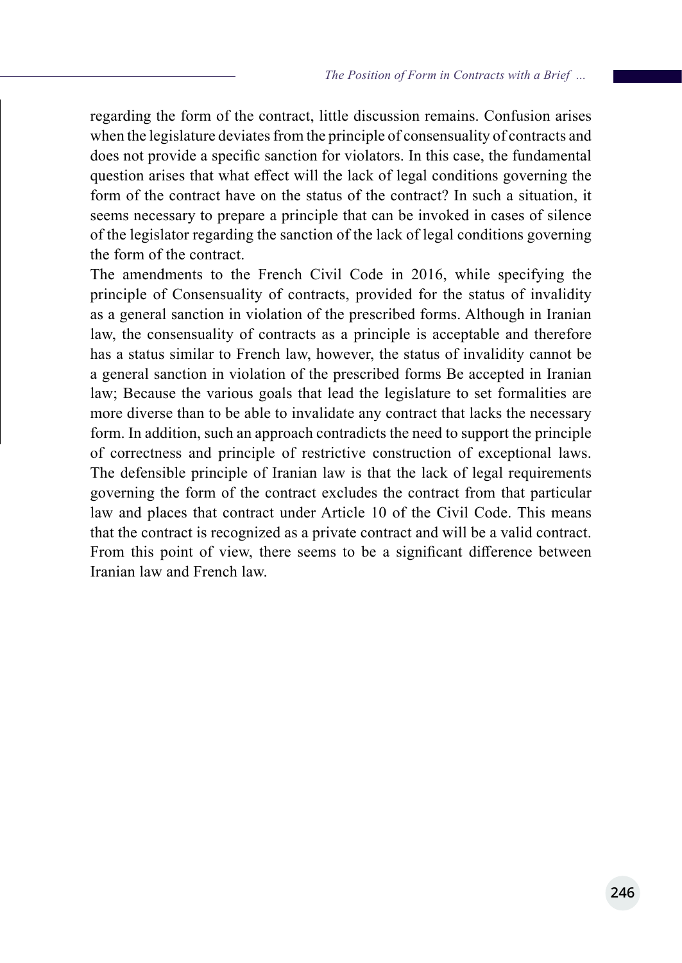regarding the form of the contract, little discussion remains. Confusion arises when the legislature deviates from the principle of consensuality of contracts and does not provide a specific sanction for violators. In this case, the fundamental question arises that what effect will the lack of legal conditions governing the form of the contract have on the status of the contract? In such a situation, it seems necessary to prepare a principle that can be invoked in cases of silence of the legislator regarding the sanction of the lack of legal conditions governing the form of the contract.

The amendments to the French Civil Code in 2016, while specifying the principle of Consensuality of contracts, provided for the status of invalidity as a general sanction in violation of the prescribed forms. Although in Iranian law, the consensuality of contracts as a principle is acceptable and therefore has a status similar to French law, however, the status of invalidity cannot be a general sanction in violation of the prescribed forms Be accepted in Iranian law; Because the various goals that lead the legislature to set formalities are more diverse than to be able to invalidate any contract that lacks the necessary form. In addition, such an approach contradicts the need to support the principle of correctness and principle of restrictive construction of exceptional laws. The defensible principle of Iranian law is that the lack of legal requirements governing the form of the contract excludes the contract from that particular law and places that contract under Article 10 of the Civil Code. This means that the contract is recognized as a private contract and will be a valid contract. From this point of view, there seems to be a significant difference between Iranian law and French law.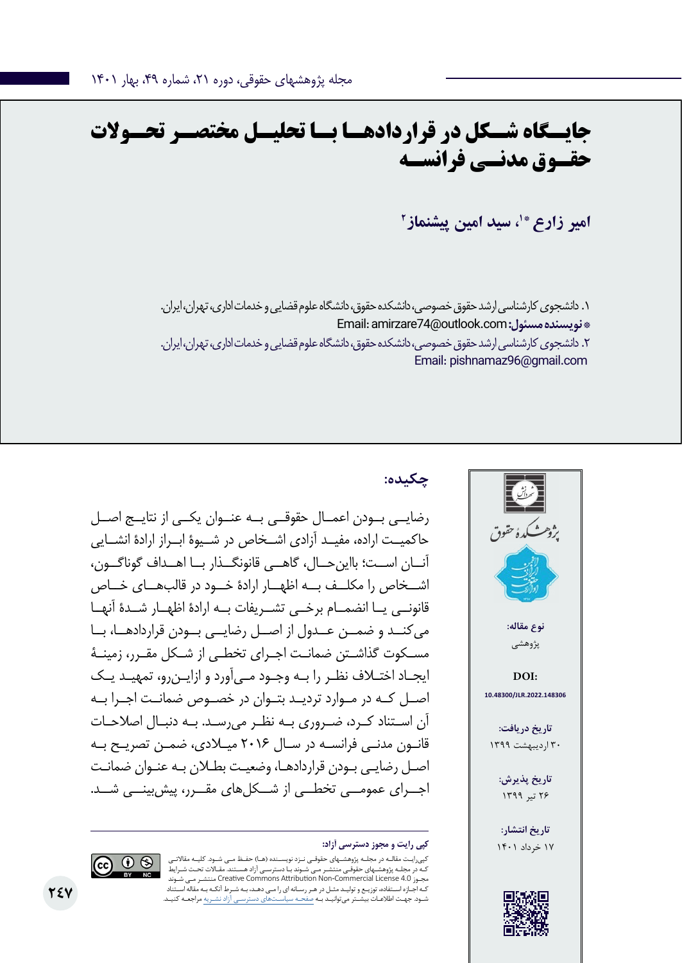# **جایــگاه شــکل در قراردادهــا بــا تحلیــل مختصــر تحــوالت حقـوق مدنـی فرانسـه**

امیر زارع \*<sup>۱</sup>، سی*د* امین پیشنماز<sup>۲</sup>

.1 دانشجوی کارشناسی ارشد حقوق خصوصی، دانشکده حقوق، دانشگاه علوم قضایی و خدمات اداری، تهران، ایران. Email: amirzare74@outlook.com **:مسئول نویسنده\***  .2 دانشجوی کارشناسی ارشد حقوق خصوصی، دانشکده حقوق، دانشگاه علوم قضایی و خدمات اداری، تهران، ایران. Email: pishnamaz96@gmail.com



## **چکیده:**

رضایــی بــودن اعمــال حقوقــی بــه عنــوان یکــی از نتایــج اصــل حاکمیــت اراده، مفیــد آزادی اشــخاص در شــیوۀ ابــراز ارادۀ انشــایی آنــان اســت؛ بااینحــال، گاهــی قانونگــذار بــا اهــداف گوناگــون، اشــخاص را مکلــف بــه اظهــار ارادۀ خــود در قالبهــای خــاص قانونــی یــا انضمــام برخــی تشــریفات بــه ارادۀ اظهــار شــدۀ آنهــا میکنــد و ضمــن عــدول از اصــل رضایــی بــودن قراردادهــا، بــا مسـکوت گذاشـتن ضمانـت اجـرای تخطـی از شـکل مقـرر، زمینـۀ ایجـاد اختـاف نظـر را بـه وجـود مـیآورد و ازایـنرو، تمهیـد یـک اصــل کــه در مــوارد تردیــد بتــوان در خصــوص ضمانــت اجــرا بــه آن اســتناد کـرد، ضــروری بــه نظــر میرســد. بــه دنبــال اصالحــات قانـون مدنـی فرانسـه در سـال 2016 میـادی، ضمـن تصریـح بـه اصـل رضایـی بـودن قراردادهـا، وضعیـت بطـان بـه عنـوان ضمانـت اجــرای عمومــی تخطــی از شــکلهای مقــرر، پیشبینــی شــد.

کپیرایـت مقالـه در مجلـه پژوهشـهای حقوقـی نـزد نویسـنده )هـا( حفـظ مـی شـود. کلیـه مقاالتـی ـهای حقوقـی منتشـر مـی شـوند بـا دسترسـی آزاد هسـتند. مقـالات تحـت شـرایط شـوند مـی منتشـر Creative Commons Attribution Non-Commercial License 4.0 مجـوز کـه اجـازه اسـتفاده، توزیـع و تولیـد مثـل در هـر رسـانه ای را مـی دهـد، بـه شـرط آنکـه بـه مقاله اسـتناد شـود. جهـت اطالعـات بیشـتر میتوانیـد بـه صفحـه سیاسـتهای دسترسـی آزاد نشـریه مراجعـه کنیـد.

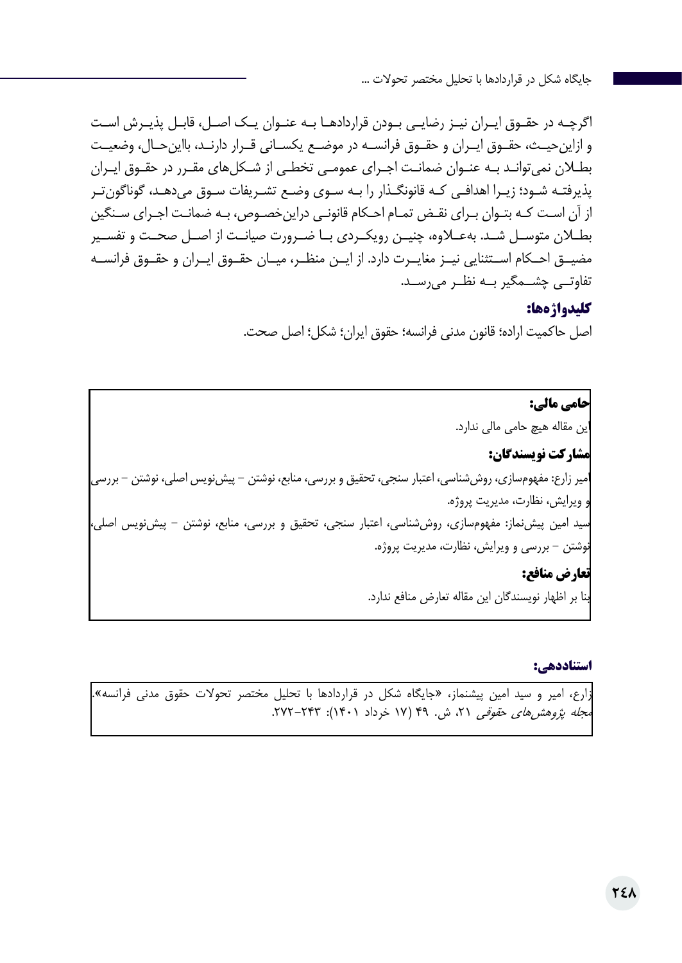اگرچـه در حقـوق ایـران نیـز رضایـی بـودن قراردادهـا بـه عنـوان یـک اصـل، قابـل پذیـرش اسـت و ازاینحیــث، حقــوق ایــران و حقــوق فرانســه در موضــع یکســانی قــرار دارنــد، بااینحــال، وضعیــت بطـان نمیتوانـد بـه عنـوان ضمانـت اجـرای عمومـی تخطـی از شـکلهای مقـرر در حقـوق ایـران پذیرفتـه شـود؛ زیـرا اهدافـی کـه قانونگـذار را بـه سـوی وضـع تشـریفات سـوق میدهـد، گوناگونتـر از آن اسـت کـه بتـوان بـرای نقـض تمـام احـکام قانونـی دراینخصـوص، بـه ضمانـت اجـرای سـنگین بطــان متوســل شــد. بهعــاوه، چنیــن رویکــردی بــا ضــرورت صیانــت از اصــل صحــت و تفســیر مضیــق احــکام اســتثنایی نیــز مغایــرت دارد. از ایــن منظــر، میــان حقــوق ایــران و حقــوق فرانســه تفاوتــی چشــمگیر بــه نظــر میرســد.

#### **کلیدواژهها:**

اصل حاکمیت اراده؛ قانون مدنی فرانسه؛ حقوق ایران؛ شکل؛ اصل صحت.

**حامی مالی:**  این مقاله هیچ حامی مالی ندارد. **مشارکت نویسندگان:**  امیر زارع: مفهومسازی، روششناسی، اعتبار سنجی، تحقیق و بررسی، منابع، نوشتن - پیشنویس اصلی، نوشتن - بررسی و ویرایش، نظارت، مدیریت پروژه. سید امین پیشنماز: مفهومسازی، روششناسی، اعتبار سنجی، تحقیق و بررسی، منابع، نوشتن - پیشنویس اصلی، نوشتن - بررسی و ویرایش، نظارت، مدیریت پروژه. **تعارض منافع:**  بنا بر اظهار نویسندگان این مقاله تعارض منافع ندارد.

#### **استناددهی:**

زارع، امیر و سید امین پیشنماز، »جایگاه شکل در قراردادها با تحلیل مختصر تحوالت حقوق مدنی فرانسه«. مجله پژوهشرهای حقوقی ۲۱، ش. ۴۹ (۱۷ خرداد ۱۴۰۱): ۲۴۳–۲۷۲.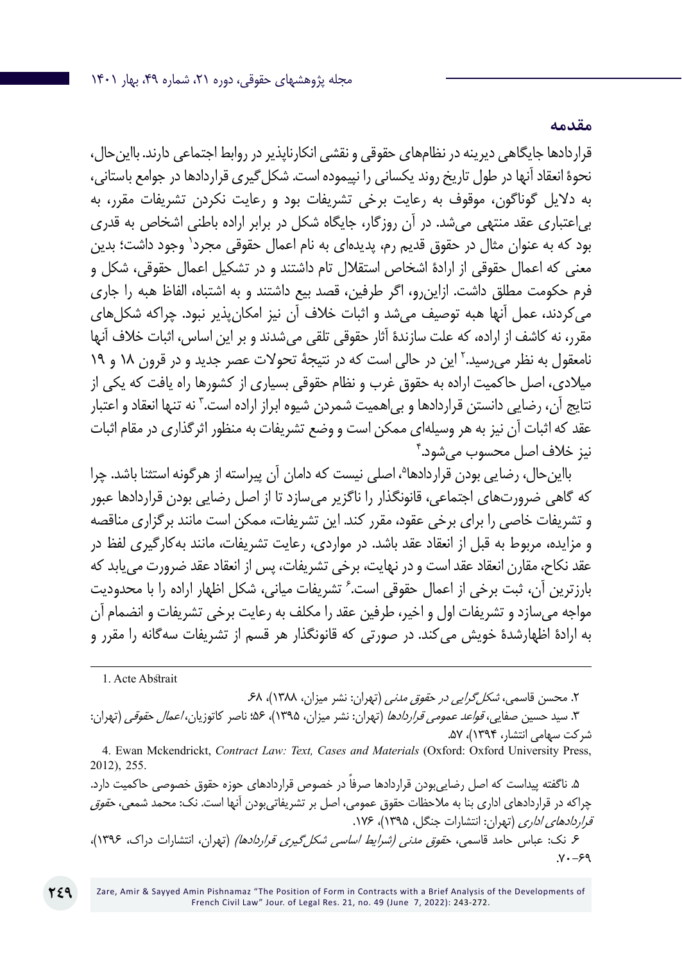قراردادها جایگاهی دیرینه در نظامهای حقوقی و نقشی انکارناپذیر در روابط اجتماعی دارند. بااینحال، نحوۀ انعقاد آنها در طول تاریخ روند یکسانی را نپیموده است. شکلگیری قراردادها در جوامع باستانی، به دالیل گوناگون، موقوف به رعایت برخی تشریفات بود و رعایت نکردن تشریفات مقرر، به بیاعتباری عقد منتهی میشد. در آن روزگار، جایگاه شکل در برابر اراده باطنی اشخاص به قدری بود که به عنوان مثال در حقوق قدیم رم، پدیدهای به نام اعمال حقوقی مجرد٬ وجود داشت؛ بدین معنی که اعمال حقوقی از ارادۀ اشخاص استقالل تام داشتند و در تشکیل اعمال حقوقی، شکل و فرم حکومت مطلق داشت. ازاینرو، اگر طرفین، قصد بیع داشتند و به اشتباه، الفاظ هبه را جاری میکردند، عمل آنها هبه توصیف میشد و اثبات خالف آن نیز امکانپذیر نبود. چراکه شکلهای مقرر، نه کاشف از اراده، که علت سازندۀ آثار حقوقی تلقی میشدند و بر این اساس، اثبات خالف آنها نامعقول به نظر میرسید.<sup>۲</sup> این در حالی است که در نتیجهٔ تحولات عصر جدید و در قرون ۱۸ و ۱۹ میالدی، اصل حاکمیت اراده به حقوق غرب و نظام حقوقی بسیاری از کشورها راه یافت که یکی از نتایج آن، رضایی دانستن قراردادها و بی|همیت شمردن شیوه ابراز اراده است." نه تنها انعقاد و اعتبار عقد که اثبات آن نیز به هر وسیلهای ممکن است و وضع تشریفات به منظور اثرگذاری در مقام اثبات 4 نیز خالف اصل محسوب میشود.

بااینحال، رضایی بودن قراردادها<sup>م</sup>، اصلی نیست که دامان آن پیراسته از هرگونه استثنا باشد. چرا که گاهی ضرورتهای اجتماعی، قانونگذار را ناگزیر میسازد تا از اصل رضایی بودن قراردادها عبور و تشریفات خاصی را برای برخی عقود، مقرر کند. این تشریفات، ممکن است مانند برگزاری مناقصه و مزایده، مربوط به قبل از انعقاد عقد باشد. در مواردی، رعایت تشریفات، مانند بهکارگیری لفظ در عقد نکاح، مقارن انعقاد عقد است و در نهایت، برخی تشریفات، پس از انعقاد عقد ضرورت مییابد که بارزترین آن، ثبت برخی از اعمال حقوقی است. ٔ تشریفات میانی، شکل اظهار اراده را با محدودیت مواجه میسازد و تشریفات اول و اخیر، طرفین عقد را مکلف به رعایت برخی تشریفات و انضمام آن به ارادۀ اظهارشدۀ خویش میکند. در صورتی که قانونگذار هر قسم از تشریفات سهگانه را مقرر و

1. Acte Abstrait

**249**

۲. محسن قاسمی، *شکل گرایی در حقوق مدنی* (تهران: نشر میزان، ۱۳۸۸)، ۶۸. ۳. سید حسین صفایی، *قواعد عمومی قراردادها* (تهران: نشر میزان، ۱۳۹۵)، ۵۶؛ ناصر کاتوزیان، *اعمال حقوقی* (تهران: شرکت سهامی انتشار، 1394(، .57

4. Ewan Mckendrickt, *Contract Law: Text, Cases and Materials* (Oxford: Oxford University Press, 2012), 255.

۵. ناگفته پیداست که اصل رضایی بودن قراردادها صرفا در خصوص قراردادهای حوزه حقوق خصوصی حاکمیت دارد. چراکه در قراردادهای اداری بنا به ملاحظات حقوق عمومی، اصل بر تشریفاتیبودن آنها است. نک: محمد شمعی، ح*قوق* قراردادهای اداری (تهران: انتشارات جنگل، ۱۳۹۵)، ۱۷۶. ۶. نک: عباس حامد قاسمی، ح*قوق مدنی (شرایط اساسی شکل گیری قراردادها)* (تهران، انتشارات دراک، ۱۳۹۶)،  $V - 99$ 

**مقدمه**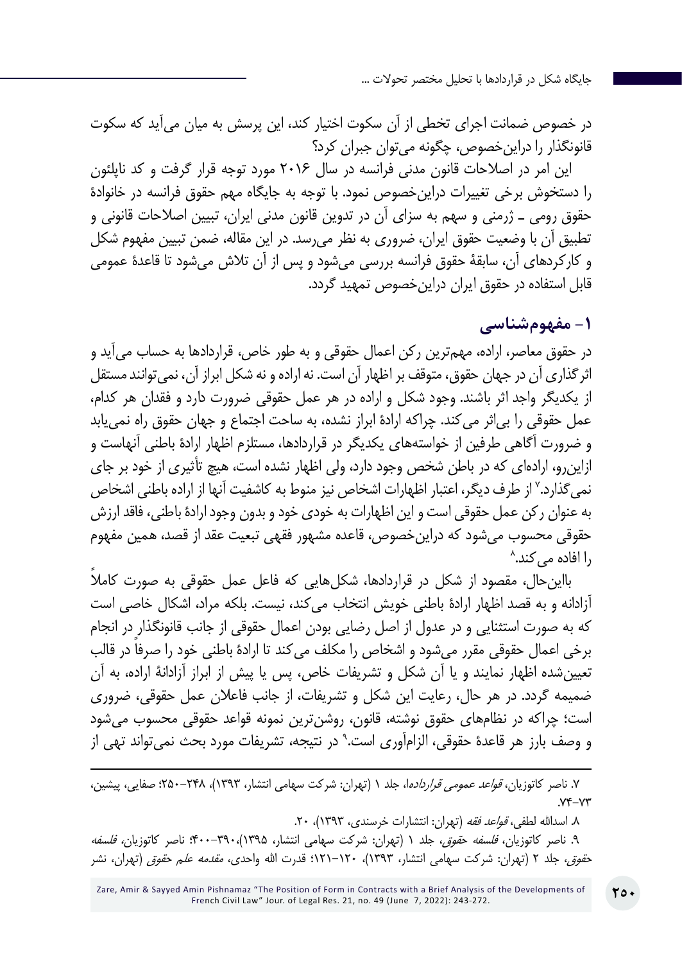در خصوص ضمانت اجرای تخطی از آن سکوت اختیار کند، این پرسش به میان میآید که سکوت قانونگذار را دراینخصوص، چگونه میتوان جبران کرد؟

این امر در اصالحات قانون مدنی فرانسه در سال 2016 مورد توجه قرار گرفت و کد ناپلئون را دستخوش برخی تغییرات دراینخصوص نمود. با توجه به جایگاه مهم حقوق فرانسه در خانوادۀ حقوق رومی ـ ژرمنی و سهم به سزای آن در تدوین قانون مدنی ایران، تبیین اصالحات قانونی و تطبیق آن با وضعیت حقوق ایران، ضروری به نظر میرسد. در این مقاله، ضمن تبیین مفهوم شکل و کارکردهای آن، سابقۀ حقوق فرانسه بررسی میشود و پس از آن تالش میشود تا قاعدۀ عمومی قابل استفاده در حقوق ایران دراینخصوص تمهید گردد.

#### **-1 مفهومشناسی**

در حقوق معاصر، اراده، مهمترین رکن اعمال حقوقی و به طور خاص، قراردادها به حساب میآید و اثر گذاری آن در جهان حقوق، متوقف بر اظهار آن است. نه اراده و نه شکل ابراز آن، نمی توانند مستقل از یکدیگر واجد اثر باشند. وجود شکل و اراده در هر عمل حقوقی ضرورت دارد و فقدان هر کدام، عمل حقوقی را بیاثر میکند. چراکه ارادۀ ابراز نشده، به ساحت اجتماع و جهان حقوق راه نمییابد و ضرورت آگاهی طرفین از خواستههای یکدیگر در قراردادها، مستلزم اظهار ارادۀ باطنی آنهاست و ازاینرو، ارادهای که در باطن شخص وجود دارد، ولی اظهار نشده است، هیچ تأثیری از خود بر جای نمی گذارد.<sup>۷</sup> از طرف دیگر، اعتبار اظهارات اشخاص نیز منوط به کاشفیت آنها از اراده باطنی اشخاص به عنوان رکن عمل حقوقی است و این اظهارات به خودی خود و بدون وجود ارادۀ باطنی، فاقد ارزش 8 حقوقی محسوب میشود که دراینخصوص، قاعده مشهور فقهی تبعیت عقد از قصد، همین مفهوم را افاده میکند.

بااینحال، مقصود از شکل در قراردادها، شکلهایی که فاعل عمل حقوقی به صورت کاملاً آزادانه و به قصد اظهار ارادۀ باطنی خویش انتخاب میکند، نیست. بلکه مراد، اشکال خاصی است که به صورت استثنایی و در عدول از اصل رضایی بودن اعمال حقوقی از جانب قانونگذار در انجام برخی اعمال حقوقی مقرر میشود و اشخاص را مکلف میکند تا ارادۀ ً باطنی خود را صرفا در قالب تعیینشده اظهار نمایند و یا آن شکل و تشریفات خاص، پس یا پیش از ابراز آزادانۀ اراده، به آن ضمیمه گردد. در هر حال، رعایت این شکل و تشریفات، از جانب فاعالن عمل حقوقی، ضروری است؛ چراکه در نظامهای حقوق نوشته، قانون، روشنترین نمونه قواعد حقوقی محسوب میشود و وصف بارز هر قاعدۀ حقوقی، الزامآوری است.<sup>۹</sup> در نتیجه، تشریفات مورد بحث نمیتواند تهی از

۷. ناصر کاتوزیان، *قواعد عمومی قرارداده*ا، جلد ۱ (تهران: شرکت سهامی انتشار، ۱۳۹۳-۱۵۰)، ۲۴۸-۲۵۰؛ صفایی، پیشین،  $YY - YY$ 

۸. اسدالله لطف*ی، قواعد فقه* (تهران: انتشارات خرسندی، ۱۳۹۳)، ۲۰.

۹. ناصر کاتوزیان، *فلسفه حقوق*، جلد ۱ (تهران: شرکت سهامی انتشار، ۱۳۹۵)،۳۹۰–۴۰۰؛ ناصر کاتوزیان*، فلسفه* ح*قوق،* جلد ۲ (تهران: شرکت سهامی انتشار، ۱۳۹۳)، ۱۲۰–۱۲۱۰؛ قدرت الله واحدی، *مقدمه علم حقوق* (تهران، نشر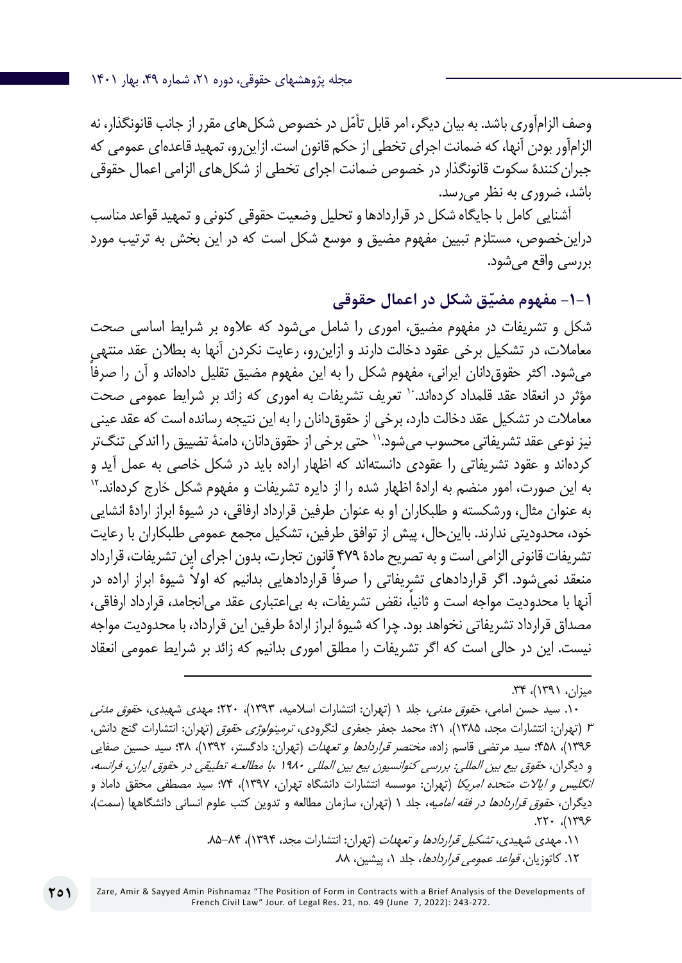وصف الزامآوری باشد. به بیان دیگر، امر قابل تأمّل در خصوص شکلهای مقرر از جانب قانونگذار، نه الزامآور بودن آنها، که ضمانت اجرای تخطی از حکم قانون است. ازاینرو، تمهید قاعدهای عمومی که جبران کنندۀ سکوت قانونگذار در خصوص ضمانت اجرای تخطی از شکلهای الزامی اعمال حقوقی باشد، ضروری به نظر میرسد.

آشنایی کامل با جایگاه شکل در قراردادها و تحلیل وضعیت حقوقی کنونی و تمهید قواعد مناسب دراینخصوص، مستلزم تبیین مفهوم مضیق و موسع شکل است که در این بخش به ترتیب مورد بررسی واقع میشود.

**ّق شکل در اعمال حقوقی -1-1 مفهوم مضی**

شکل و تشریفات در مفهوم مضیق، اموری را شامل میشود که عالوه بر شرایط اساسی صحت معامالت، در تشکیل برخی عقود دخالت دارند و ازاینرو، رعایت نکردن آنها به بطالن عقد منتهی میشود. اکثر حقوق دانان ایرانی، مفهوم شکل را به این مفهوم مضیق تقلیل دادهاند و آن را صرفا مؤثر در انعقاد عقد قلمداد کردهاند. `` تعریف تشریفات به اموری که زائد بر شرایط عمومی صحت معامالت در تشکیل عقد دخالت دارد، برخی از حقوقدانان را به این نتیجه رسانده است که عقد عینی نیز نوعی عقد تشریفاتی محسوب میشود.'' حتی برخی از حقوق دانان، دامنۀ تضییق را اندکی تنگ تر کردهاند و عقود تشریفاتی را عقودی دانستهاند که اظهار اراده باید در شکل خاصی به عمل آید و به این صورت، امور منضم به ارادۀ اظهار شده را از دایره تشریفات و مفهوم شکل خارج کردهاند12. به عنوان مثال، ورشکسته و طلبکاران او به عنوان طرفین قرارداد ارفاقی، در شیوۀ ابراز ارادۀ انشایی خود، محدودیتی ندارند. بااینحال، پیش از توافق طرفین، تشکیل مجمع عمومی طلبکاران با رعایت تشریفات قانونی الزامی است و به تصریح مادۀ 479 قانون تجارت، بدون اجرای این تشریفات، قرارداد منعقد نمیشود. اگر قراردادهای تشریفاتی را صرفاً قراردادهایی بدانیم که اولاً شیوۀ ابراز اراده در ً آنها با محدودیت مواجه است و ثانیا، نقض تشریفات، به بیاعتباری عقد میانجامد، قرارداد ارفاقی، مصداق قرارداد تشریفاتی نخواهد بود. چرا که شیوۀ ابراز ارادۀ طرفین این قرارداد، با محدودیت مواجه نیست. این در حالی است که اگر تشریفات را مطلق اموری بدانیم که زائد بر شرایط عمومی انعقاد

میزان، ۱۳۹۱)، ۳۴.

۱۰. سید حسن امامی، ح*قوق مدنی،* جلد ۱ (تهران: انتشارات اسلامیه، ۱۳۹۳)، ۲۲۰؛ مهدی شهیدی، ح*قوق مدنی* <sup>3</sup> )تهران: انتشارات مجد، 1385(، 21؛ محمد جعفر جعفری لنگرودی، ترمینولوژی حقوق )تهران: انتشارات گنج دانش، ۱۳۹۶)، ۴۵۸؛ سید مرتضی قاسم زاده، *مختصر قراردادها و تعهدات* (تهران: دادگستر، ۱۳۹۲)، ۳۸؛ سید حسین صفایی و دیگران، حقوق بیع بین المللی: بررسی کنوانسیون بیع بین المللی 1980 ،با مطالعـه تطبیقی در حقوق ایران، فرانسه، *انگلیس و ایالات متحده امریکا* (تهران: موسسه انتشارات دانشگاه تهران، ۱۳۹۷)، ۷۴؛ سید مصطفی محقق داماد و دیگران، ح*قوق قراردادها در فقه امامیه*، جلد ۱ (تهران، سازمان مطالعه و تدوین کتب علوم انسانی دانشگاهها (سمت)،  $(1795)$ ,  $177.$ 

> .11 مهدی شهیدی، تشکیل قراردادها و تعهدات )تهران: انتشارات مجد، 1394(، .85-84 ۱۲. کاتوزیان، *قواعد عمومی قراردادها*، جلد ۰۱ پیشین، ۸۸.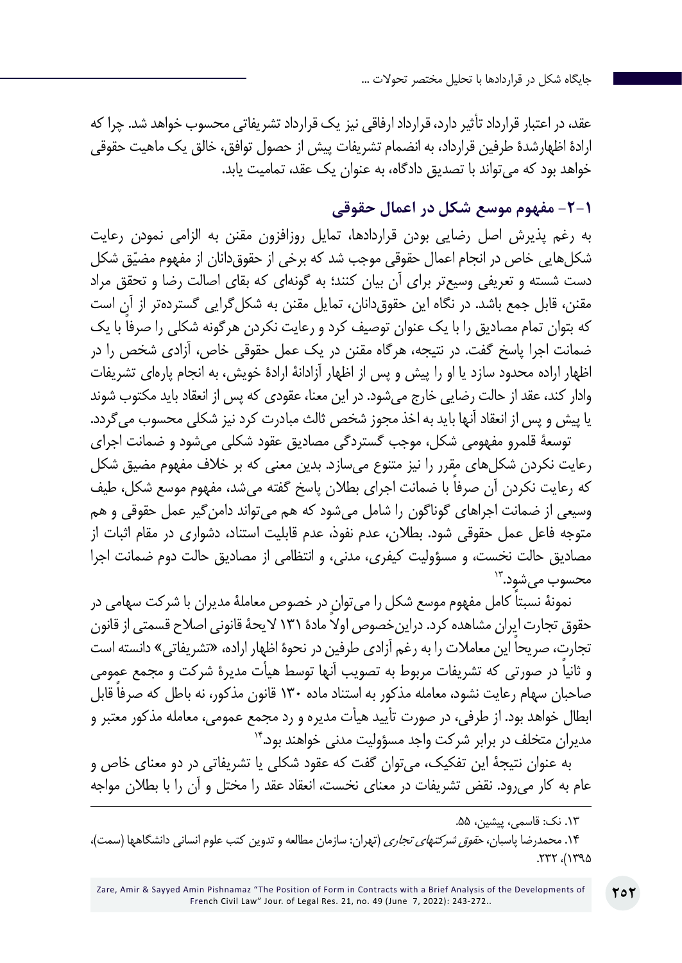عقد، در اعتبار قرارداد تأثیر دارد، قرارداد ارفاقی نیز یک قرارداد تشریفاتی محسوب خواهد شد. چرا که ارادۀ اظهارشدۀ طرفین قرارداد، به انضمام تشریفات پیش از حصول توافق، خالق یک ماهیت حقوقی خواهد بود که میتواند با تصدیق دادگاه، به عنوان یک عقد، تمامیت یابد.

## **-2-1 مفهوم موسع شکل در اعمال حقوقی**

به رغم پذیرش اصل رضایی بودن قراردادها، تمایل روزافزون مقنن به الزامی نمودن رعایت شکلهایی خاص در انجام اعمال حقوقی موجب شد که برخی از حقوقدانان از مفهوم مضیّق شکل دست شسته و تعریفی وسیعتر برای آن بیان کنند؛ به گونهای که بقای اصالت رضا و تحقق مراد مقنن، قابل جمع باشد. در نگاه این حقوقدانان، تمایل مقنن به شکلگرایی گستردهتر از آن است ً که بتوان تمام مصادیق را با یک عنوان توصیف کرد و رعایت نکردن هرگونه شکلی را صرفا با یک ضمانت اجرا پاسخ گفت. در نتیجه، هرگاه مقنن در یک عمل حقوقی خاص، آزادی شخص را در اظهار اراده محدود سازد یا او را پیش و پس از اظهار آزادانۀ ارادۀ خویش، به انجام پارهای تشریفات وادار کند، عقد از حالت رضایی خارج میشود. در این معنا، عقودی که پس از انعقاد باید مکتوب شوند یا پیش و پس از انعقاد آنها باید به اخذ مجوز شخص ثالث مبادرت کرد نیز شکلی محسوب میگردد.

توسعۀ قلمرو مفهومی شکل، موجب گستردگی مصادیق عقود شکلی میشود و ضمانت اجرای رعایت نکردن شکلهای مقرر را نیز متنوع میسازد. بدین معنی که بر خالف مفهوم مضیق شکل ً که رعایت نکردن آن صرفا با ضمانت اجرای بطالن پاسخ گفته میشد، مفهوم موسع شکل، طیف وسیعی از ضمانت اجراهای گوناگون را شامل میشود که هم میتواند دامنگیر عمل حقوقی و هم متوجه فاعل عمل حقوقی شود. بطالن، عدم نفوذ، عدم قابلیت استناد، دشواری در مقام اثبات از مصادیق حالت نخست، و مسؤولیت کیفری، مدنی، و انتظامی از مصادیق حالت دوم ضمانت اجرا  $^{\prime\prime}$ محسوب می شود. $^{\prime\prime}$ 

نمونۀ ً نسبتا کامل مفهوم موسع شکل را میتوان در خصوص معاملۀ مدیران با شرکت سهامی در حقوق تجارت ایران مشاهده کرد. دراین خصوص اولاً مادۀ ١٣١ لایحۀ قانونی اصلاح قسمتی از قانون تجارت، صریحاً این معاملات را به رغم آزادی طرفین در نحوۀ اظهار اراده، «تشریفاتی» دانسته است ً و ثانیا در صورتی که تشریفات مربوط به تصویب آنها توسط هیأت مدیرۀ شرکت و مجمع عمومی صاحبان سهام رعایت نشود، معامله مذکور به استناد ماده 130 ً قانون مذکور، نه باطل که صرفا قابل ابطال خواهد بود. از طرفی، در صورت تأیید هیأت مدیره و رد مجمع عمومی، معامله مذکور معتبر و مدیران متخلف در برابر شرکت واجد مسؤولیت مدنی خواهند بود14.

به عنوان نتیجۀ این تفکیک، میتوان گفت که عقود شکلی یا تشریفاتی در دو معنای خاص و عام به کار میرود. نقض تشریفات در معنای نخست، انعقاد عقد را مختل و آن را با بطالن مواجه

۱۴. محمدرضا پاسبان، *حقوق شرکتهای تجاری* (تهران: سازمان مطالعه و تدوین کتب علوم انسانی دانشگاهها (سمت)،  $\Delta$  $\mathcal{P}$ 

<sup>.13</sup> نک: قاسمی، پیشین، .55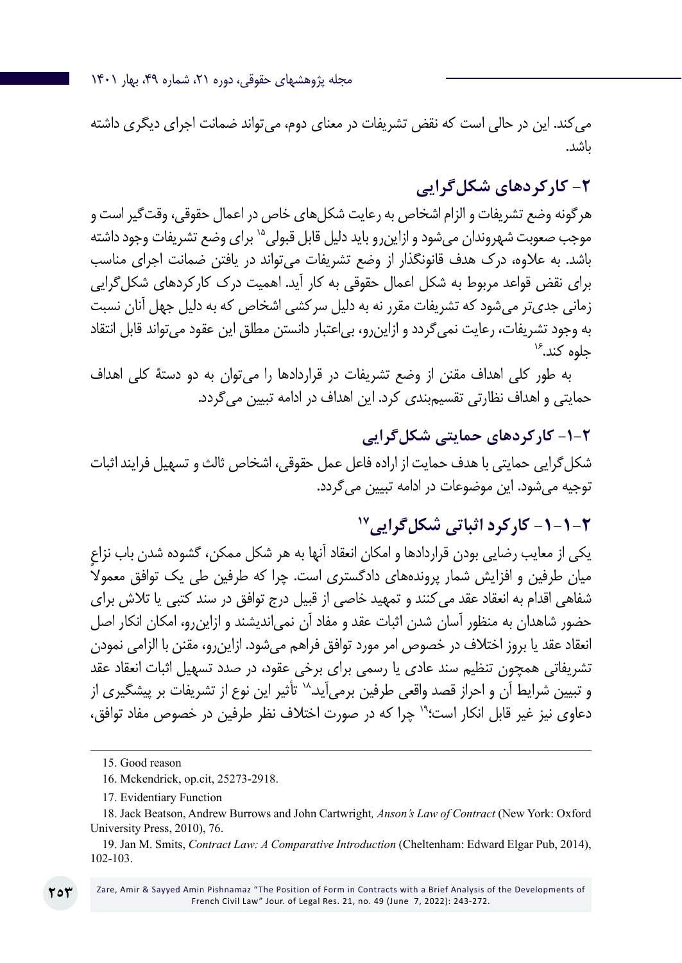مجله پژوهشهای حقوقی، دوره ،21 شماره ،49 بهار 1401

میکند. این در حالی است که نقض تشریفات در معنای دوم، میتواند ضمانت اجرای دیگری داشته باشد.

## **-2 کارکردهای شکلگرایی**

هرگونه وضع تشریفات و الزام اشخاص به رعایت شکلهای خاص در اعمال حقوقی، وقتگیر است و موجب صعوبت شهروندان می شود و ازاین رو باید دلیل قابل قبولی<sup>۱۵</sup> برای وضع تشریفات وجود داشته باشد. به عالوه، درک هدف قانونگذار از وضع تشریفات میتواند در یافتن ضمانت اجرای مناسب برای نقض قواعد مربوط به شکل اعمال حقوقی به کار آید. اهمیت درک کارکردهای شکلگرایی زمانی جدیتر میشود که تشریفات مقرر نه به دلیل سرکشی اشخاص که به دلیل جهل آنان نسبت به وجود تشریفات، رعایت نمیگردد و ازاینرو، بیاعتبار دانستن مطلق این عقود میتواند قابل انتقاد جلوه کند.<sup>۱۶</sup>

به طور کلی اهداف مقنن از وضع تشریفات در قراردادها را میتوان به دو دستۀ کلی اهداف حمایتی و اهداف نظارتی تقسیمبندی کرد. این اهداف در ادامه تبیین میگردد.

## **-1-2 کارکردهای حمایتی شکلگرایی**

شکلگرایی حمایتی با هدف حمایت از اراده فاعل عمل حقوقی، اشخاص ثالث و تسهیل فرایند اثبات توجیه میشود. این موضوعات در ادامه تبیین میگردد.

## **-1-1-2 کارکرد اثباتی شکلگرایی17**

یکی از معایب رضایی بودن قراردادها و امکان انعقاد آنها به هر شکل ممکن، گشوده شدن باب نزاع میان طرفین و افزایش شمار پروندههای دادگستری است. چرا که طرفین طی یک توافق معمولاً شفاهی اقدام به انعقاد عقد میکنند و تمهید خاصی از قبیل درج توافق در سند کتبی یا تالش برای حضور شاهدان به منظور آسان شدن اثبات عقد و مفاد آن نمیاندیشند و ازاینرو، امکان انکار اصل انعقاد عقد یا بروز اختالف در خصوص امر مورد توافق فراهم میشود. ازاینرو، مقنن با الزامی نمودن تشریفاتی همچون تنظیم سند عادی یا رسمی برای برخی عقود، در صدد تسهیل اثبات انعقاد عقد و تبیین شرایط آن و احراز قصد واقعی طرفین برمیآید.<sup>۱۸</sup> تأثیر این نوع از تشریفات بر پیشگیری از دعاوی نیز غیر قابل انکار است؛19 چرا که در صورت اختالف نظر طرفین در خصوص مفاد توافق،

Zare, Amir & Sayyed Amin Pishnamaz "The Position of Form in Contracts with a Brief Analysis of the Developments of French Civil Law" Jour. of Legal Res. 21, no. 49 (June 7, 2022): 243-272.

<sup>15.</sup> Good reason

<sup>16</sup>. Mckendrick, op.cit, 25273-2918.

<sup>17</sup>. Evidentiary Function

<sup>18.</sup> Jack Beatson, Andrew Burrows and John Cartwright*, Anson's Law of Contract* (New York: Oxford University Press, 2010), 76.

<sup>19</sup>. Jan M. Smits, *Contract Law: A Comparative Introduction* (Cheltenham: Edward Elgar Pub, 2014), 102-103.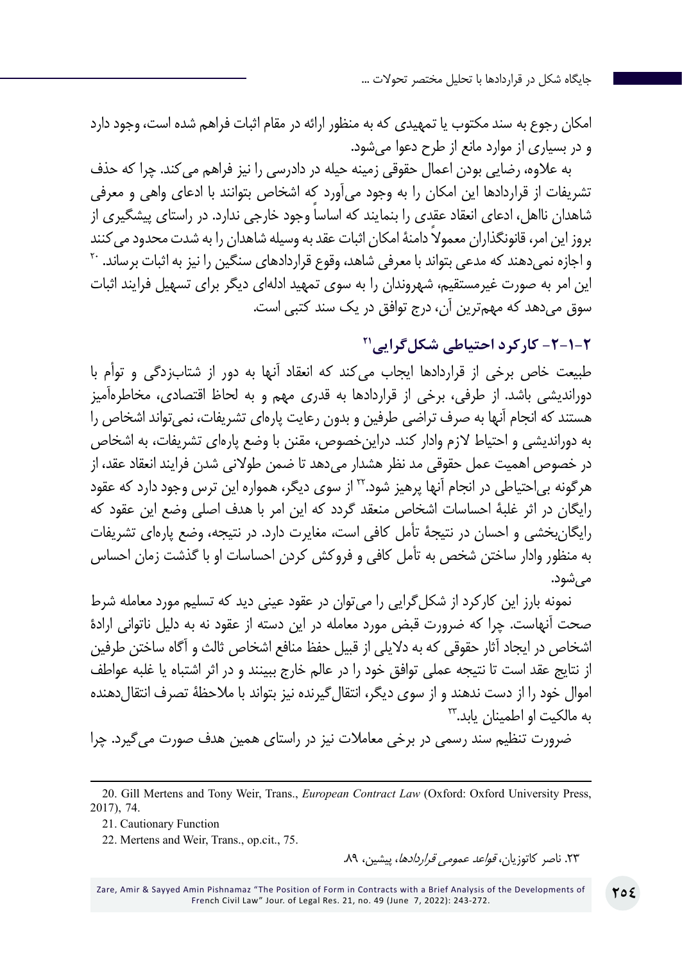امکان رجوع به سند مکتوب یا تمهیدی که به منظور ارائه در مقام اثبات فراهم شده است، وجود دارد و در بسیاری از موارد مانع از طرح دعوا میشود.

به عالوه، رضایی بودن اعمال حقوقی زمینه حیله در دادرسی را نیز فراهم میکند. چرا که حذف تشریفات از قراردادها این امکان را به وجود میآورد که اشخاص بتوانند با ادعای واهی و معرفی شاهدان نااهل، ادعای انعقاد عقدی را بنمایند که اساساً وجود خارجی ندارد. در راستای پیشگیری از بروز این امر، قانونگذاران معمولاً دامنهٔ امکان اثبات عقد به وسیله شاهدان را به شدت محدود می کنند<br>و اجازه نمی دهند که مدعی بتواند با معرفی شاهد، وقوع قراردادهای سنگین را نیز به اثبات برساند. <sup>۲۰</sup> این امر به صورت غیرمستقیم، شهروندان را به سوی تمهید ادلهای دیگر برای تسهیل فرایند اثبات سوق میدهد که مهمترین آن، درج توافق در یک سند کتبی است.

**-2-1-2 کارکرد احتیاطی شکلگرایی21**

طبیعت خاص برخی از قراردادها ایجاب میکند که انعقاد آنها به دور از شتابزدگی و توأم با دوراندیشی باشد. از طرفی، برخی از قراردادها به قدری مهم و به لحاظ اقتصادی، مخاطرهآمیز هستند که انجام آنها به صرف تراضی طرفین و بدون رعایت پارهای تشریفات، نمیتواند اشخاص را به دوراندیشی و احتیاط الزم وادار کند. دراینخصوص، مقنن با وضع پارهای تشریفات، به اشخاص در خصوص اهمیت عمل حقوقی مد نظر هشدار میدهد تا ضمن طوالنی شدن فرایند انعقاد عقد، از هرگونه بیاحتیاطی در انجام آنها پرهیز شود22. از سوی دیگر، همواره این ترس وجود دارد که عقود رایگان در اثر غلبۀ احساسات اشخاص منعقد گردد که این امر با هدف اصلی وضع این عقود که رایگانبخشی و احسان در نتیجۀ تأمل کافی است، مغایرت دارد. در نتیجه، وضع پارهای تشریفات به منظور وادار ساختن شخص به تأمل کافی و فروکش کردن احساسات او با گذشت زمان احساس مے ,شود.

نمونه بارز این کارکرد از شکل گرایی را می توان در عقود عینی دید که تسلیم مورد معامله شرط صحت آنهاست. چرا که ضرورت قبض مورد معامله در این دسته از عقود نه به دلیل ناتوانی ارادۀ اشخاص در ایجاد آثار حقوقی که به دالیلی از قبیل حفظ منافع اشخاص ثالث و آگاه ساختن طرفین از نتایج عقد است تا نتیجه عملی توافق خود را در عالم خارج ببینند و در اثر اشتباه یا غلبه عواطف اموال خود را از دست ندهند و از سوی دیگر، انتقالگیرنده نیز بتواند با مالحظۀ تصرف انتقالدهنده به مالکیت او اطمینان یابد.<sup>7۳</sup>

ضرورت تنظیم سند رسمی در برخی معامالت نیز در راستای همین هدف صورت میگیرد. چرا

.23 ناصر کاتوزیان، قواعد عمومی قراردادها، پیشین، .89

<sup>20</sup>. Gill Mertens and Tony Weir, Trans., *European Contract Law* (Oxford: Oxford University Press, 2017), 74.

<sup>21.</sup> Cautionary Function

<sup>22</sup>. Mertens and Weir, Trans., op.cit., 75.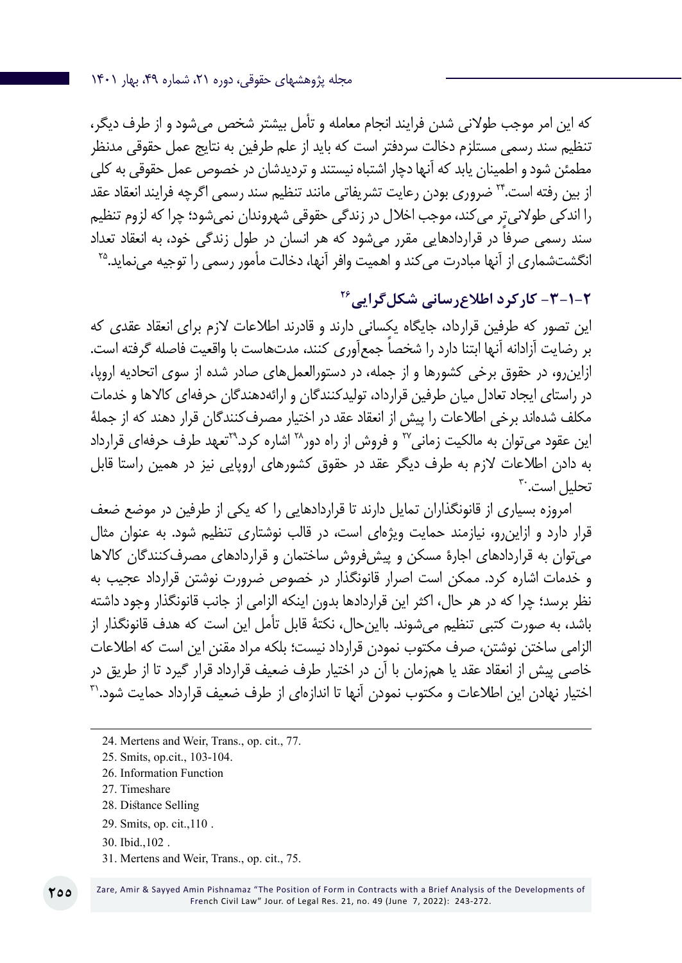مجله پژوهشهای حقوقی، دوره ،21 شماره ،49 بهار 1401

که این امر موجب طوالنی شدن فرایند انجام معامله و تأمل بیشتر شخص میشود و از طرف دیگر، تنظیم سند رسمی مستلزم دخالت سردفتر است که باید از علم طرفین به نتایج عمل حقوقی مدنظر مطمئن شود و اطمینان یابد که آنها دچار اشتباه نیستند و تردیدشان در خصوص عمل حقوقی به کلی از بین رفته است24. ضروری بودن رعایت تشریفاتی مانند تنظیم سند رسمی اگرچه فرایند انعقاد عقد را اندکی طوالنیتر میکند، موجب اخالل در زندگی حقوقی شهروندان نمیشود؛ چرا که لزوم تنظیم سند رسمی صرفا در قراردادهایی مقرر میشود که هر انسان در طول زندگی خود، به انعقاد تعداد<br>انگشتشماری از آنها مبادرت می کند و اهمیت وافر آنها، دخالت مأمور رسمی را توجیه می نماید.<sup>۲۵</sup>

## **-3-1-2 کارکرد اطالعرسانی شکلگرایی26**

این تصور که طرفین قرارداد، جایگاه یکسانی دارند و قادرند اطالعات الزم برای انعقاد عقدی که ً بر رضایت آزادانه آنها ابتنا دارد را شخصا جمعآوری کنند، مدتهاست با واقعیت فاصله گرفته است. ازاینرو، در حقوق برخی کشورها و از جمله، در دستورالعملهای صادر شده از سوی اتحادیه اروپا، در راستای ایجاد تعادل میان طرفین قرارداد، تولیدکنندگان و ارائهدهندگان حرفهای کاالها و خدمات مکلف شدهاند برخی اطالعات را پیش از انعقاد عقد در اختیار مصرفکنندگان قرار دهند که از جملۀ این عقود میتوان به مالکیت زمانی27 و فروش از راه دور28 اشاره کرد29.تعهد طرف حرفهای قرارداد به دادن اطالعات الزم به طرف دیگر عقد در حقوق کشورهای اروپایی نیز در همین راستا قابل تحلیل اس*ت*.<sup>۳۰</sup>

امروزه بسیاری از قانونگذاران تمایل دارند تا قراردادهایی را که یکی از طرفین در موضع ضعف قرار دارد و ازاینرو، نیازمند حمایت ویژهای است، در قالب نوشتاری تنظیم شود. به عنوان مثال میتوان به قراردادهای اجارۀ مسکن و پیشفروش ساختمان و قراردادهای مصرفکنندگان کاالها و خدمات اشاره کرد. ممکن است اصرار قانونگذار در خصوص ضرورت نوشتن قرارداد عجیب به نظر برسد؛ چرا که در هر حال، اکثر این قراردادها بدون اینکه الزامی از جانب قانونگذار وجود داشته باشد، به صورت کتبی تنظیم میشوند. بااینحال، نکتۀ قابل تأمل این است که هدف قانونگذار از الزامی ساختن نوشتن، صرف مکتوب نمودن قرارداد نیست؛ بلکه مراد مقنن این است که اطالعات خاصی پیش از انعقاد عقد یا همزمان با آن در اختیار طرف ضعیف قرارداد قرار گیرد تا از طریق در اختیار نهادن این اطلاعات و مکتوب نمودن آنها تا اندازهای از طرف ضعیف قرارداد حمایت شود.'آ

- 26. Information Function
- 27. Timeshare
- 28. Distance Selling
- 29. Smits, op. cit.,110 .
- 30. Ibid.,102 .

**255**

31. Mertens and Weir, Trans., op. cit., 75.

<sup>24</sup>. Mertens and Weir, Trans., op. cit., 77.

<sup>25.</sup> Smits, op.cit., 103-104.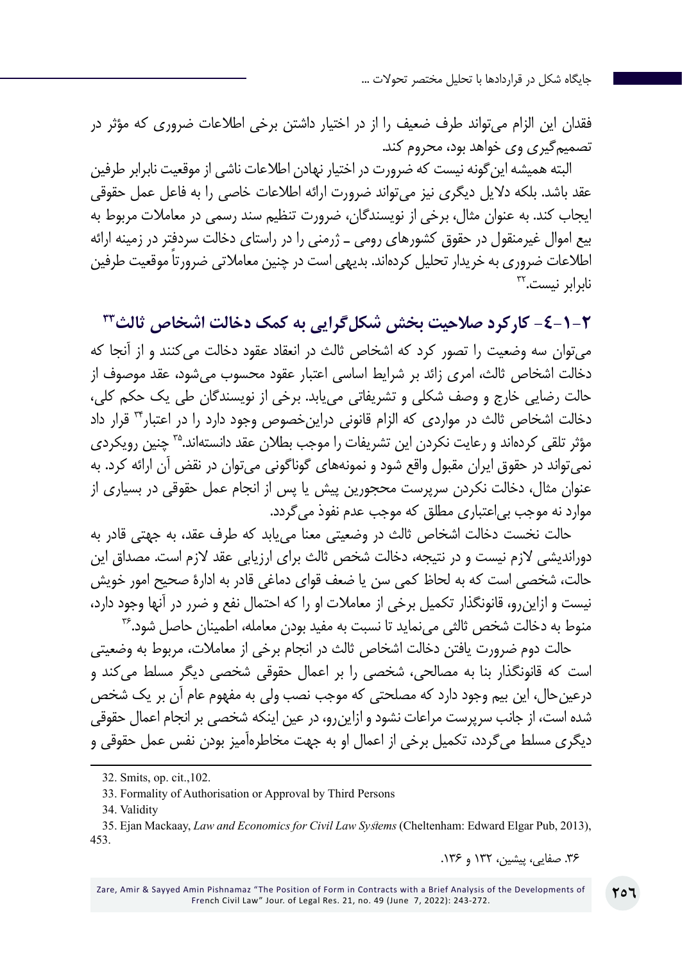فقدان این الزام میتواند طرف ضعیف را از در اختیار داشتن برخی اطالعات ضروری که مؤثر در تصمیمگیری وی خواهد بود، محروم کند.

البته همیشه اینگونه نیست که ضرورت در اختیار نهادن اطالعات ناشی از موقعیت نابرابر طرفین عقد باشد. بلکه دالیل دیگری نیز میتواند ضرورت ارائه اطالعات خاصی را به فاعل عمل حقوقی ایجاب کند. به عنوان مثال، برخی از نویسندگان، ضرورت تنظیم سند رسمی در معامالت مربوط به بیع اموال غیرمنقول در حقوق کشورهای رومی ـ ژرمنی را در راستای دخالت سردفتر در زمینه ارائه اطلاعات ضروری به خریدار تحلیل کردهاند. بدیهی است در چنین معاملاتی ضرورتا موقعیت طرفین نابرابر نیس*ت*.۳

**-4-1-2 کارکرد صالحیت بخش شکلگرایی به کمک دخالت اشخاص ثالث33** میتوان سه وضعیت را تصور کرد که اشخاص ثالث در انعقاد عقود دخالت میکنند و از آنجا که دخالت اشخاص ثالث، امری زائد بر شرایط اساسی اعتبار عقود محسوب میشود، عقد موصوف از حالت رضایی خارج و وصف شکلی و تشریفاتی مییابد. برخی از نویسندگان طی یک حکم کلی، دخالت اشخاص ثالث در مواردی که الزام قانونی دراینخصوص وجود دارد را در اعتبار34 قرار داد مؤثر تلقی کردهاند و رعایت نکردن این تشریفات را موجب بطلان عقد دانستهاند.<sup>۳۵</sup> چنین رویکردی نمیتواند در حقوق ایران مقبول واقع شود و نمونههای گوناگونی میتوان در نقض آن ارائه کرد. به عنوان مثال، دخالت نکردن سرپرست محجورین پیش یا پس از انجام عمل حقوقی در بسیاری از موارد نه موجب بیاعتباری مطلق که موجب عدم نفوذ میگردد.

حالت نخست دخالت اشخاص ثالث در وضعیتی معنا مییابد که طرف عقد، به جهتی قادر به دوراندیشی الزم نیست و در نتیجه، دخالت شخص ثالث برای ارزیابی عقد الزم است. مصداق این حالت، شخصی است که به لحاظ کمی سن یا ضعف قوای دماغی قادر به ادارۀ صحیح امور خویش نیست و ازاینرو، قانونگذار تکمیل برخی از معامالت او را که احتمال نفع و ضرر در آنها وجود دارد، منوط به دخالت شخص ثالثی می نماید تا نسبت به مفید بودن معامله، اطمینان حاصل شود.۳۶

حالت دوم ضرورت یافتن دخالت اشخاص ثالث در انجام برخی از معامالت، مربوط به وضعیتی است که قانونگذار بنا به مصالحی، شخصی را بر اعمال حقوقی شخصی دیگر مسلط میکند و درعینحال، این بیم وجود دارد که مصلحتی که موجب نصب ولی به مفهوم عام آن بر یک شخص شده است، از جانب سرپرست مراعات نشود و ازاینرو، در عین اینکه شخصی بر انجام اعمال حقوقی دیگری مسلط میگردد، تکمیل برخی از اعمال او به جهت مخاطرهآمیز بودن نفس عمل حقوقی و

33. Formality of Authorisation or Approval by Third Persons

34. Validity

.36 صفایی، پیشین، 132 و .136

<sup>32.</sup> Smits, op. cit.,102.

<sup>35</sup>. Ejan Mackaay, *Law and Economics for Civil Law Systems* (Cheltenham: Edward Elgar Pub, 2013), 453.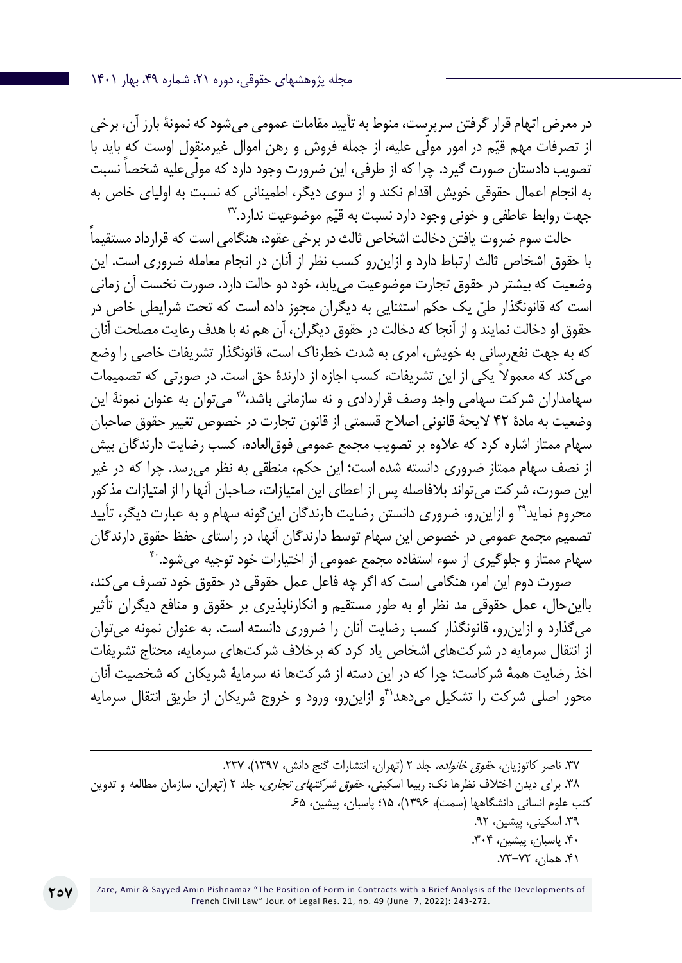در معرض اتهام قرار گرفتن سرپرست، منوط به تأیید مقامات عمومی میشود که نمونۀ بارز آن، برخی از تصرفات مهم قیّم در امور مولّی علیه، از جمله فروش و رهن اموال غیرمنقول اوست که ٍباید با تصویب دادستان صورت گیرد. چرا که از طرفی، این ضرورت وجود دارد که مولّی علیه شخصا نسبت به انجام اعمال حقوقی خویش اقدام نکند و از سوی دیگر، اطمینانی که نسبت به اولیای خاص به جهت روابط عاطفی و خونی وجود دارد نسبت به قیّم موضوعیت ندارد. $\mathbf{v}$ 

ً حالت سوم ضروت یافتن دخالت اشخاص ثالث در برخی عقود، هنگامی است که قرارداد مستقیما با حقوق اشخاص ثالث ارتباط دارد و ازاینرو کسب نظر از آنان در انجام معامله ضروری است. این وضعیت که بیشتر در حقوق تجارت موضوعیت مییابد، خود دو حالت دارد. صورت نخست آن زمانی است که قانونگذار طیّ یک حکم استثنایی به دیگران مجوز داده است که تحت شرایطی خاصِ در حقوق او دخالت نمایند و از آنجا که دخالت در حقوق دیگران، آن هم نه با هدف رعایت مصلحت آنان که به جهت نفعرسانی به خویش، امری به شدت خطرناک است، قانونگذار تشریفات خاصی را وضع می ً کند که معموال یکی از این تشریفات، کسب اجازه از دارندۀ حق است. در صورتی که تصمیمات سهامداران شرکت سهامی واجد وصف قراردادی و نه سازمانی باشد،^۳ میتوان به عنوان نمونۀ این وضعیت به مادۀ 42 الیحۀ قانونی اصالح قسمتی از قانون تجارت در خصوص تغییر حقوق صاحبان سهام ممتاز اشاره کرد که عالوه بر تصویب مجمع عمومی فوقالعاده، کسب رضایت دارندگان بیش از نصف سهام ممتاز ضروری دانسته شده است؛ این حکم، منطقی به نظر میرسد. چرا که در غیر این صورت، شرکت میتواند بالفاصله پس از اعطای این امتیازات، صاحبان آنها را از امتیازات مذکور محروم نماید39 و ازاینرو، ضروری دانستن رضایت دارندگان اینگونه سهام و به عبارت دیگر، تأیید تصمیم مجمع عمومی در خصوص این سهام توسط دارندگان آنها، در راستای حفظ حقوق دارندگان سهام ممتاز و جلوگیری از سوء استفاده مجمع عمومی از اختیارات خود توجیه می شود. ب

صورت دوم این امر، هنگامی است که اگر چه فاعل عمل حقوقی در حقوق خود تصرف میکند، بااینحال، عمل حقوقی مد نظر او به طور مستقیم و انکارناپذیری بر حقوق و منافع دیگران تأثیر میگذارد و ازاینرو، قانونگذار کسب رضایت آنان را ضروری دانسته است. به عنوان نمونه میتوان از انتقال سرمایه در شرکتهای اشخاص یاد کرد که برخالف شرکتهای سرمایه، محتاج تشریفات اخذ رضایت همۀ شرکاست؛ چرا که در این دسته از شرکتها نه سرمایۀ شریکان که شخصیت آنان محور اصلی شرکت را تشکیل میدهد<sup>۴</sup>و ازاین,رو، ورود و خروج شریکان از طریق انتقال سرمایه

.37 ناصر کاتوزیان، حقوق خانواده، جلد 2 )تهران، انتشارات گنج دانش، 1397(، .237 .38 برای دیدن اختالف نظرها نک: ربیعا اسکینی، حقوق شرکتهای تجاری، جلد 2 )تهران، سازمان مطالعه و تدوین کتب علوم انسانی دانشگاهها )سمت(، 1396(، 15؛ پاسبان، پیشین، .65 .39 اسکینی، پیشین، .92 .40 پاسبان، پیشین، .304 .41 همان، .73-72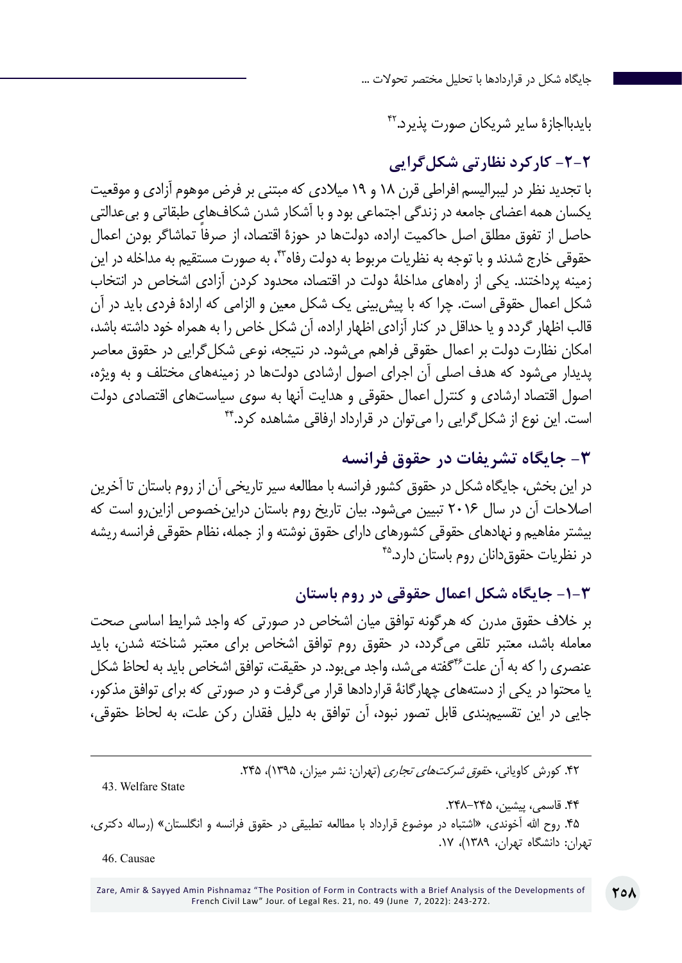بایدبااجازۀ سایر شریکان صورت پذیرد42.

## **-2-2 کارکرد نظارتی شکلگرایی**

با تجدید نظر در لیبرالیسم افراطی قرن 18 و 19 میالدی که مبتنی بر فرض موهوم آزادی و موقعیت یکسان همه اعضای جامعه در زندگی اجتماعی بود و با آشکار شدن شکافهای طبقاتی و بیعدالتی حاصل از تفوق مطلق اصل حاکمیت اراده، دولتها در حوزۀ ً اقتصاد، از صرفا تماشاگر بودن اعمال حقوقی خارج شدند و با توجه به نظریات مربوط به دولت رفاه<sup>۴۳</sup>، به صورت مستقیم به مداخله در این زمینه پرداختند. یکی از راههای مداخلۀ دولت در اقتصاد، محدود کردن آزادی اشخاص در انتخاب شکل اعمال حقوقی است. چرا که با پیشبینی یک شکل معین و الزامی که ارادۀ فردی باید در آن قالب اظهار گردد و یا حداقل در کنار آزادی اظهار اراده، آن شکل خاص را به همراه خود داشته باشد، امکان نظارت دولت بر اعمال حقوقی فراهم میشود. در نتیجه، نوعی شکلگرایی در حقوق معاصر پدیدار میشود که هدف اصلی آن اجرای اصول ارشادی دولتها در زمینههای مختلف و به ویژه، اصول اقتصاد ارشادی و کنترل اعمال حقوقی و هدایت آنها به سوی سیاستهای اقتصادی دولت است. این نوع از شکلگرایی را میتوان در قرارداد ارفاقی مشاهده کرد44.

#### **-3 جایگاه تشریفات در حقوق فرانسه**

در این بخش، جایگاه شکل در حقوق کشور فرانسه با مطالعه سیر تاریخی آن از روم باستان تا آخرین اصالحات آن در سال 2016 تبیین میشود. بیان تاریخ روم باستان دراینخصوص ازاینرو است که بیشتر مفاهیم و نهادهای حقوقی کشورهای دارای حقوق نوشته و از جمله، نظام حقوقی فرانسه ریشه در نظریات حقوقدانان روم باستان دارد45.

**-1-3 جایگاه شکل اعمال حقوقی در روم باستان**

بر خالف حقوق مدرن که هرگونه توافق میان اشخاص در صورتی که واجد شرایط اساسی صحت معامله باشد، معتبر تلقی میگردد، در حقوق روم توافق اشخاص برای معتبر شناخته شدن، باید عنصری را که به آن علت46گفته میشد، واجد میبود. در حقیقت، توافق اشخاص باید به لحاظ شکل یا محتوا در یکی از دستههای چهارگانۀ قراردادها قرار میگرفت و در صورتی که برای توافق مذکور، جایی در این تقسیمبندی قابل تصور نبود، آن توافق به دلیل فقدان رکن علت، به لحاظ حقوقی،

۴۲. کورش کاویانی، ح*قوق شرکتهای تجاری* (تهران: نشر میزان، ۱۳۹۵)، ۲۴۵.

43. Welfare State

.44 قاسمی، پیشین، .248-245

۴۵. روح الله آخوندی، «اشتباه در موضوع قرارداد با مطالعه تطبیقی در حقوق فرانسه و انگلستان» (رساله دکتری، تهران: دانشگاه تهران، 1389(، .17

46. Causae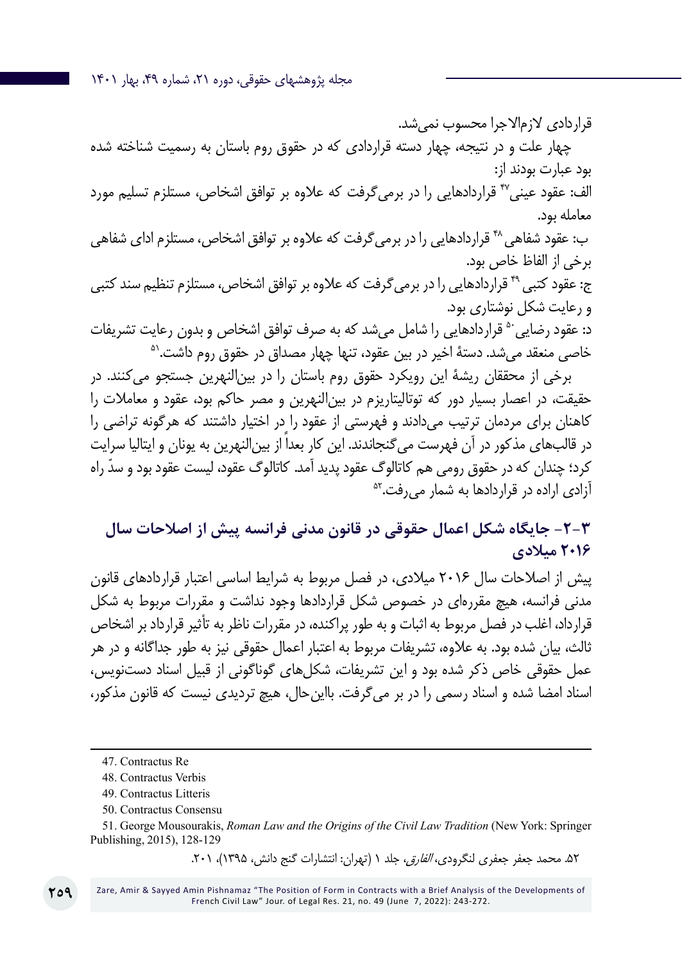مجله پژوهشهای حقوقی، دوره ،21 شماره ،49 بهار 1401

قراردادی لازمالاجرا محسوب نمی شد. چهار علت و در نتیجه، چهار دسته قراردادی که در حقوق روم باستان به رسمیت شناخته شده بود عبارت بودند از: الف: عقود عینی47 قراردادهایی را در برمیگرفت که عالوه بر توافق اشخاص، مستلزم تسلیم مورد معامله بود. ب: عقود شفاهی<sup>۴۸</sup> قراردادهایی را در برمیگرفت که علاوه بر توافق اشخاص، مستلزم ادای شفاهی برخی از الفاظ خاص بود. ج: عقود کتبی<sup>۴۹</sup> قراردادهایی را در برمی *گ*رفت که علاوه بر توافق اشخاص، مستلزم تنظیم سند کتبی و رعایت شکل نوشتاری بود. د: عقود رضایی <sup>۵۰</sup> قراردادهایی را شامل میشد که به صرف توافق اشخاص و بدون رعایت تشریفات<br>خاصی منعقد می شد. دستهٔ اخیر در بین عقود، تنها چهار مصداق در حقوق روم داشت.<sup>۵۱</sup> برخی از محققان ریشۀ این رویکرد حقوق روم باستان را در بینالنهرین جستجو میکنند. در

حقیقت، در اعصار بسیار دور که توتالیتاریزم در بینالنهرین و مصر حاکم بود، عقود و معامالت را کاهنان برای مردمان ترتیب میدادند و فهرستی از عقود را در اختیار داشتند که هرگونه تراضی را در قالبهای مذکور در آن فهرست میگنجاندند. این کار بعداً از بینالنهرین به یونان و ایتالیا سرایت کرد؛ چندان که در حقوق رومی هم کاتالوگ عقود پدید آمد. کاتالوگ عقود، لیست عقود بود و سدّ راه<br>آزادی اراده در قراردادها به شمار می فت.<sup>۵۲</sup>

**-2-3 جایگاه شکل اعمال حقوقی در قانون مدنی فرانسه پیش از اصالحات سال 2016 میالدی**

پیش از اصالحات سال 2016 میالدی، در فصل مربوط به شرایط اساسی اعتبار قراردادهای قانون مدنی فرانسه، هیچ مقررهای در خصوص شکل قراردادها وجود نداشت و مقررات مربوط به شکل قرارداد، اغلب در فصل مربوط به اثبات و به طور پراکنده، در مقررات ناظر به تأثیر قرارداد بر اشخاص ثالث، بیان شده بود. به عالوه، تشریفات مربوط به اعتبار اعمال حقوقی نیز به طور جداگانه و در هر عمل حقوقی خاص ذکر شده بود و این تشریفات، شکلهای گوناگونی از قبیل اسناد دستنویس، اسناد امضا شده و اسناد رسمی را در بر میگرفت. بااینحال، هیچ تردیدی نیست که قانون مذکور،

51. George Mousourakis, *Roman Law and the Origins of the Civil Law Tradition* (New York: Springer Publishing, 2015), 128-129

۵۲. محمد جعفر جعفری لنگرودی، *الفارق،* جلد ۱ (تهران: انتشارات گنج دانش، ۱۳۹۵)، ۲۰۱.

Zare, Amir & Sayyed Amin Pishnamaz "The Position of Form in Contracts with a Brief Analysis of the Developments of French Civil Law" Jour. of Legal Res. 21, no. 49 (June 7, 2022): 243-272.

<sup>47</sup>. Contractus Re

<sup>48</sup>. Contractus Verbis

<sup>49.</sup> Contractus Litteris

<sup>50.</sup> Contractus Consensu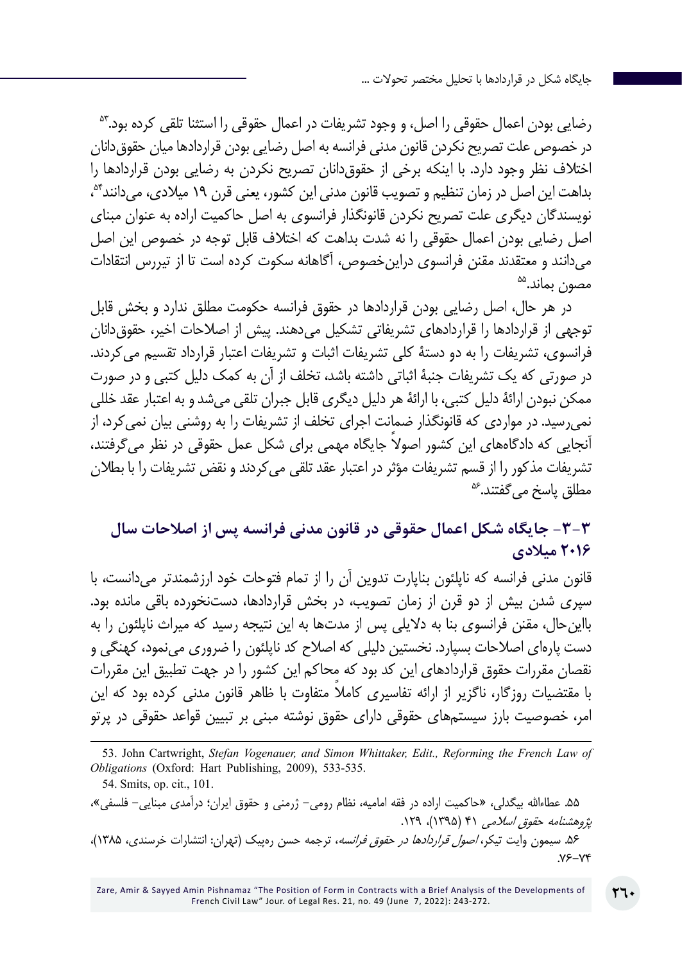رضایی بودن اعمال حقوقی را اصل، و وجود تشریفات در اعمال حقوقی را استثنا تلقی کرده بود.<sup>۵۳</sup> در خصوص علت تصریح نکردن قانون مدنی فرانسه به اصل رضایی بودن قراردادها میان حقوقدانان اختالف نظر وجود دارد. با اینکه برخی از حقوقدانان تصریح نکردن به رضایی بودن قراردادها را بداهت این اصل در زمان تنظیم و تصویب قانون مدنی این کشور، یعنی قرن ۱۹ میلادی، می دانند<sup>۹</sup>۴، نویسندگان دیگری علت تصریح نکردن قانونگذار فرانسوی به اصل حاکمیت اراده به عنوان مبنای اصل رضایی بودن اعمال حقوقی را نه شدت بداهت که اختالف قابل توجه در خصوص این اصل میدانند و معتقدند مقنن فرانسوی دراینخصوص، آگاهانه سکوت کرده است تا از تیررس انتقادات<br>مصون بماند.<sup>۵۵</sup>

در هر حال، اصل رضایی بودن قراردادها در حقوق فرانسه حکومت مطلق ندارد و بخش قابل توجهی از قراردادها را قراردادهای تشریفاتی تشکیل میدهند. پیش از اصالحات اخیر، حقوقدانان فرانسوی، تشریفات را به دو دستۀ کلی تشریفات اثبات و تشریفات اعتبار قرارداد تقسیم میکردند. در صورتی که یک تشریفات جنبۀ اثباتی داشته باشد، تخلف از آن به کمک دلیل کتبی و در صورت ممکن نبودن ارائۀ دلیل کتبی، با ارائۀ هر دلیل دیگری قابل جبران تلقی میشد و به اعتبار عقد خللی نمیرسید. در مواردی که قانونگذار ضمانت اجرای تخلف از تشریفات را به روشنی بیان نمیکرد، از آنجایی که دادگاههای این کشور اصولاً جایگاه مهمی برای شکل عمل حقوقی در نظر می گرفتند، تشریفات مذکور را از قسم تشریفات مؤثر در اعتبار عقد تلقی می کردند و نقض تشریفات را با بطلان<br>مطلق یاسخ می گفتند.<sup>عه</sup>

## **-3-3 جایگاه شکل اعمال حقوقی در قانون مدنی فرانسه پس از اصالحات سال 2016 میالدی**

قانون مدنی فرانسه که ناپلئون بناپارت تدوین آن را از تمام فتوحات خود ارزشمندتر میدانست، با سپری شدن بیش از دو قرن از زمان تصویب، در بخش قراردادها، دستنخورده باقی مانده بود. بااینحال، مقنن فرانسوی بنا به دالیلی پس از مدتها به این نتیجه رسید که میراث ناپلئون را به دست پارهای اصالحات بسپارد. نخستین دلیلی که اصالح کد ناپلئون را ضروری مینمود، کهنگی و نقصان مقررات حقوق قراردادهای این کد بود که محاکم این کشور را در جهت تطبیق این مقررات ً با مقتضیات روزگار، ناگزیر از ارائه تفاسیری کامال متفاوت با ظاهر قانون مدنی کرده بود که این امر، خصوصیت بارز سیستمهای حقوقی دارای حقوق نوشته مبنی بر تبیین قواعد حقوقی در پرتو

53. John Cartwright, *Stefan Vogenauer, and Simon Whittaker, Edit., Reforming the French Law of Obligations* (Oxford: Hart Publishing, 2009), 533-535.

.55 عطاءاهلل بیگدلی، »حاکمیت اراده در فقه امامیه، نظام رومی- ژرمنی و حقوق ایران؛ درآمدی مبنایی- فلسفی«، پژوهشنامه حقوق اسلامی ۴۱ (۱۳۹۵)، ۱۲۹. ۵۶. سیمون وایت تیکر، *اصول قراردادها در حقوق فرانسه*، ترجمه حسن رهپیک (تهران: انتشارات خرسندی، ۱۳۸۵)، .76-74

<sup>54.</sup> Smits, op. cit., 101.

Zare, Amir & Sayyed Amin Pishnamaz "The Position of Form in Contracts with a Brief Analysis of the Developments of French Civil Law" Jour. of Legal Res. 21, no. 49 (June 7, 2022): 243-272.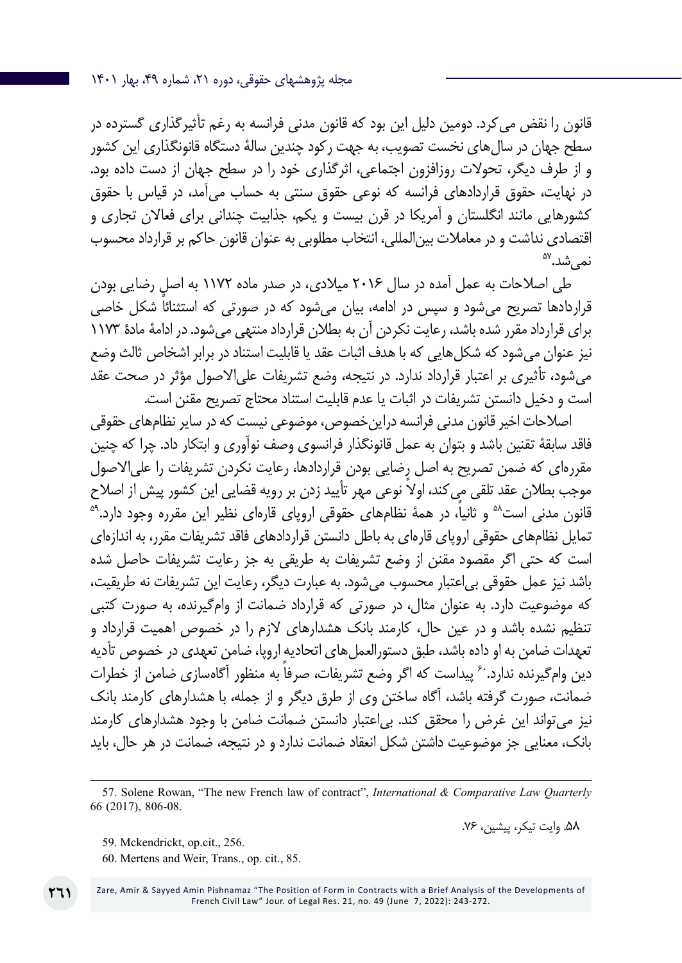قانون را نقض میکرد. دومین دلیل این بود که قانون مدنی فرانسه به رغم تأثیرگذاری گسترده در سطح جهان در سالهای نخست تصویب، به جهت رکود چندین سالۀ دستگاه قانونگذاری این کشور و از طرف دیگر، تحوالت روزافزون اجتماعی، اثرگذاری خود را در سطح جهان از دست داده بود. در نهایت، حقوق قراردادهای فرانسه که نوعی حقوق سنتی به حساب میآمد، در قیاس با حقوق کشورهایی مانند انگلستان و آمریکا در قرن بیست و یکم، جذابیت چندانی برای فعاالن تجاری و اقتصادی نداشت و در معاملات بین|لمللی، انتخاب مطلوبی به عنوان قانون حاکم بر قرارداد محسوب<br>نمی شد.<sup>۵۷</sup>

طی اصالحات به عمل آمده در سال 2016 میالدی، در صدر ماده 1172 به اصل رضایی بودن قراردادها تصریح میشود و سپس در ادامه، بیان می ً شود که در صورتی که استثنائا شکل خاصی برای قرارداد مقرر شده باشد، رعایت نکردن آن به بطالن قرارداد منتهی میشود. در ادامۀ مادۀ 1173 نیز عنوان میشود که شکلهایی که با هدف اثبات عقد یا قابلیت استناد در برابر اشخاص ثالث وضع میشود، تأثیری بر اعتبار قرارداد ندارد. در نتیجه، وضع تشریفات علیاالصول مؤثر در صحت عقد است و دخیل دانستن تشریفات در اثبات یا عدم قابلیت استناد محتاج تصریح مقنن است.

اصالحات اخیر قانون مدنی فرانسه دراینخصوص، موضوعی نیست که در سایر نظامهای حقوقی فاقد سابقۀ تقنین باشد و بتوان به عمل قانونگذار فرانسوی وصف نوآوری و ابتکار داد. چرا که چنین مقررهای که ضمن تصریح به اصل رضایی بودن قراردادها، رعایت نکردن تشریفات را علیاالصول موجب بطلان عقد تلقی می کند، اولاً نوعی مهر تأیید زدن بر رویه قضایی این کشور پیش از اصلاح<br>قانون مدنی است<sup>۵۸</sup> و ثانیاً، در همۀ نظامهای حقوقی ارویای قارهای نظیر این مقرره وجود دارد.<sup>۵۹</sup> تمایل نظامهای حقوقی اروپای قارهای به باطل دانستن قراردادهای فاقد تشریفات مقرر، به اندازهای است که حتی اگر مقصود مقنن از وضع تشریفات به طریقی به جز رعایت تشریفات حاصل شده باشد نیز عمل حقوقی بیاعتبار محسوب میشود. به عبارت دیگر، رعایت این تشریفات نه طریقیت، که موضوعیت دارد. به عنوان مثال، در صورتی که قرارداد ضمانت از وامگیرنده، به صورت کتبی تنظیم نشده باشد و در عین حال، کارمند بانک هشدارهای الزم را در خصوص اهمیت قرارداد و تعهدات ضامن به او داده باشد، طبق دستورالعملهای اتحادیه اروپا، ضامن تعهدی در خصوص تأدیه دین وامگیرنده ندارد. ٔ پیداست که اگر وضع تشریفات، صرفا به منظور آگاهسازی ضامن از خطرات ضمانت، صورت گرفته باشد، آگاه ساختن وی از طرق دیگر و از جمله، با هشدارهای کارمند بانک نیز میتواند این غرض را محقق کند. بیاعتبار دانستن ضمانت ضامن با وجود هشدارهای کارمند بانک، معنایی جز موضوعیت داشتن شکل انعقاد ضمانت ندارد و در نتیجه، ضمانت در هر حال، باید

.58 وایت تیکر، پیشین، .76

- 59. Mckendrickt, op.cit., 256.
- 60. Mertens and Weir, Trans., op. cit., 85.

Zare, Amir & Sayyed Amin Pishnamaz "The Position of Form in Contracts with a Brief Analysis of the Developments of French Civil Law" Jour. of Legal Res. 21, no. 49 (June 7, 2022): 243-272.

<sup>57</sup>. Solene Rowan, "The new French law of contract", *International & Comparative Law Quarterly* 66 (2017), 806-08.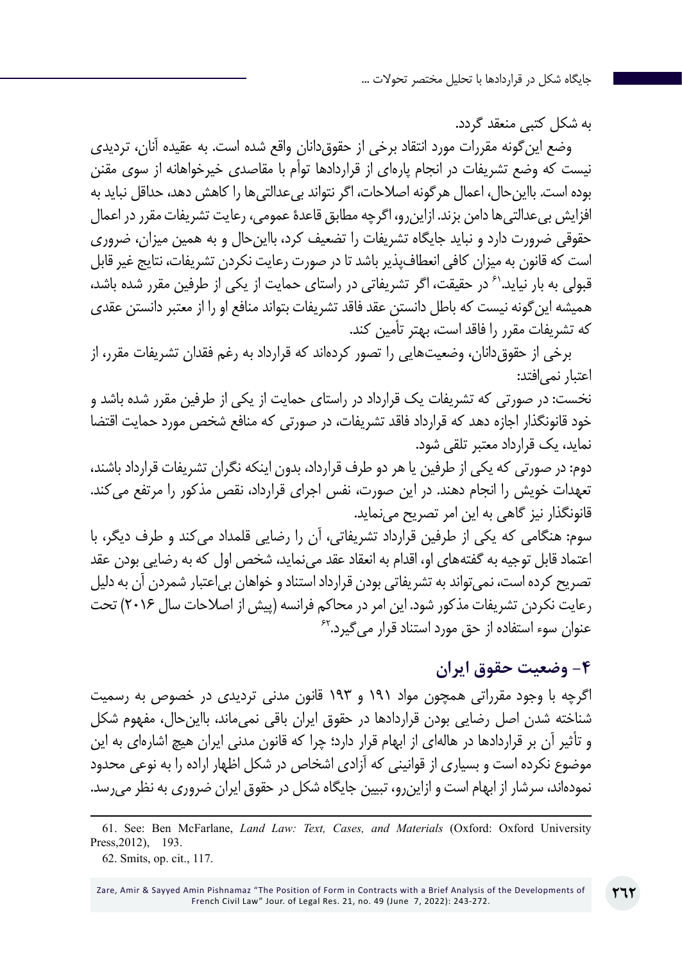به شکل کتبی منعقد گردد.

وضع اینگونه مقررات مورد انتقاد برخی از حقوقدانان واقع شده است. به عقیده آنان، تردیدی نیست که وضع تشریفات در انجام پارهای از قراردادها توأم با مقاصدی خیرخواهانه از سوی مقنن بوده است. بااینحال، اعمال هرگونه اصالحات، اگر نتواند بیعدالتیها را کاهش دهد، حداقل نباید به افزایش بیعدالتیها دامن بزند. ازاینرو، اگرچه مطابق قاعدۀ عمومی، رعایت تشریفات مقرر در اعمال حقوقی ضرورت دارد و نباید جایگاه تشریفات را تضعیف کرد، بااینحال و به همین میزان، ضروری است که قانون به میزان کافی انعطافپذیر باشد تا در صورت رعایت نکردن تشریفات، نتایج غیر قابل قبولی به بار نیاید.'<sup>۶</sup> در حقیقت، اگر تشریفاتی در راستای حمایت از یکی از طرفین مقرر شده باشد، همیشه اینگونه نیست که باطل دانستن عقد فاقد تشریفات بتواند منافع او را از معتبر دانستن عقدی که تشریفات مقرر را فاقد است، بهتر تأمین کند.

برخی از حقوقدانان، وضعیتهایی را تصور کردهاند که قرارداد به رغم فقدان تشریفات مقرر، از اعتبار نمی|فتد:

نخست: در صورتی که تشریفات یک قرارداد در راستای حمایت از یکی از طرفین مقرر شده باشد و خود قانونگذار اجازه دهد که قرارداد فاقد تشریفات، در صورتی که منافع شخص مورد حمایت اقتضا نماید، یک قرارداد معتبر تلقی شود.

دوم: در صورتی که یکی از طرفین یا هر دو طرف قرارداد، بدون اینکه نگران تشریفات قرارداد باشند، تعهدات خویش را انجام دهند. در این صورت، نفس اجرای قرارداد، نقص مذکور را مرتفع میکند. قانونگذار نیز گاهی به این امر تصریح مینماید.

سوم: هنگامی که یکی از طرفین قرارداد تشریفاتی، آن را رضایی قلمداد میکند و طرف دیگر، با اعتماد قابل توجیه به گفتههای او، اقدام به انعقاد عقد مینماید، شخص اول که به رضایی بودن عقد تصریح کرده است، نمی تواند به تشریفاتی بودن قرارداد استناد و خواهان بی اعتبار شمردن آن به دلیل رعایت نکردن تشریفات مذکور شود. این امر در محاکم فرانسه )پیش از اصالحات سال 2016( تحت عنوان سوء استفاده از حق مورد استناد قرار می گیرد.<sup>۶۲</sup>

## **-4 وضعیت حقوق ایران**

اگرچه با وجود مقرراتی همچون مواد 191 و 193 قانون مدنی تردیدی در خصوص به رسمیت شناخته شدن اصل رضایی بودن قراردادها در حقوق ایران باقی نمیماند، بااینحال، مفهوم شکل و تأثیر آن بر قراردادها در هالهای از ابهام قرار دارد؛ چرا که قانون مدنی ایران هیچ اشارهای به این موضوع نکرده است و بسیاری از قوانینی که آزادی اشخاص در شکل اظهار اراده را به نوعی محدود نمودهاند، سرشار از ابهام است و ازاینرو، تبیین جایگاه شکل در حقوق ایران ضروری به نظر میرسد.

<sup>61</sup>. See: Ben McFarlane, *Land Law: Text, Cases, and Materials* (Oxford: Oxford University Press,2012), 193.

<sup>62</sup>. Smits, op. cit., 117.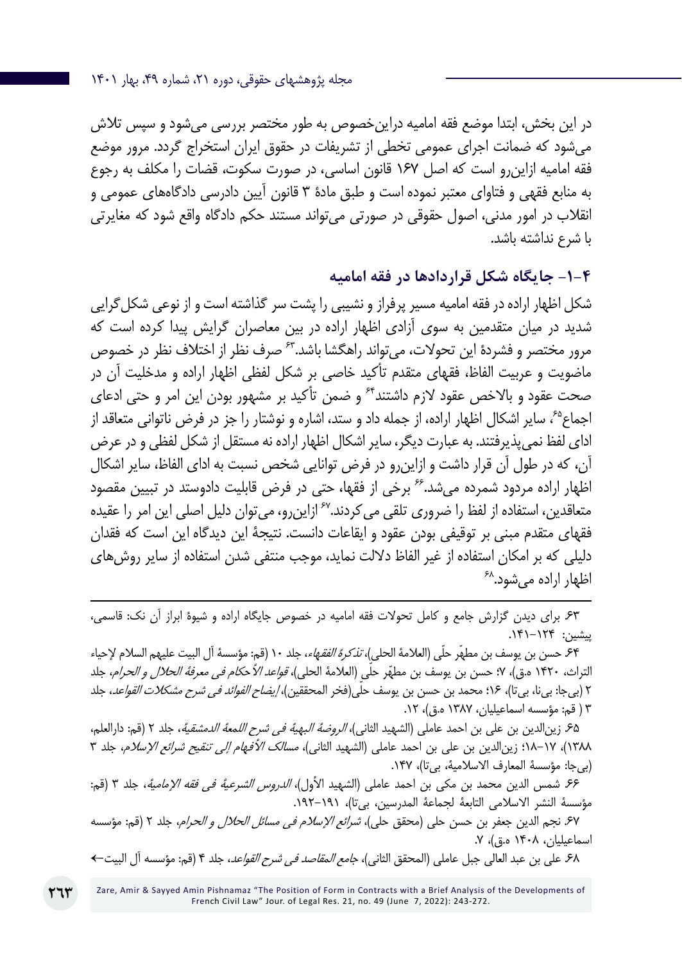در این بخش، ابتدا موضع فقه امامیه دراینخصوص به طور مختصر بررسی میشود و سپس تالش میشود که ضمانت اجرای عمومی تخطی از تشریفات در حقوق ایران استخراج گردد. مرور موضع فقه امامیه ازاینرو است که اصل 167 قانون اساسی، در صورت سکوت، قضات را مکلف به رجوع به منابع فقهی و فتاوای معتبر نموده است و طبق مادۀ 3 قانون آیین دادرسی دادگاههای عمومی و انقالب در امور مدنی، اصول حقوقی در صورتی میتواند مستند حکم دادگاه واقع شود که مغایرتی با شرع نداشته باشد.

#### **-1-4 جایگاه شکل قراردادها در فقه امامیه**

شکل اظهار اراده در فقه امامیه مسیر پرفراز و نشیبی را پشت سر گذاشته است و از نوعی شکلگرایی شدید در میان متقدمین به سوی آزادی اظهار اراده در بین معاصران گرایش پیدا کرده است که مرور مختصر و فشردۀ این تحولات، میتواند راهگشا باشد. ً<sup>۶۳</sup> صرف نظر از اختلاف نظر در خصوص ماضویت و عربیت الفاظ، فقهای متقدم تأکید خاصی بر شکل لفظی اظهار اراده و مدخلیت آن در صحت عقود و بالاخص عقود لازم داشتند<sup>۶۴</sup> و ضمن تأکید بر مشهور بودن این امر و حتی ادعای اجماع،65 سایر اشکال اظهار اراده، از جمله داد و ستد، اشاره و نوشتار را جز در فرض ناتوانی متعاقد از ادای لفظ نمیپذیرفتند. به عبارت دیگر، سایر اشکال اظهار اراده نه مستقل از شکل لفظی و در عرض آن، که در طول آن قرار داشت و ازاینرو در فرض توانایی شخص نسبت به ادای الفاظ، سایر اشکال اظهار اراده مردود شمرده میشد66. برخی از فقها، حتی در فرض قابلیت دادوستد در تبیین مقصود متعاقدین، استفاده از لفظ را ضروری تلقی می کردند.<sup>۶۷</sup> ازاین رو، می توان دلیل اصلی این امر را عقیده فقهای متقدم مبنی بر توقیفی بودن عقود و ایقاعات دانست. نتیجۀ این دیدگاه این است که فقدان دلیلی که بر امکان استفاده از غیر الفاظ دلالت نماید، موجب منتفی شدن استفاده از سایر روش های<br>اظهار اراده می شود.<sup>۶۸</sup>

.63 برای دیدن گزارش جامع و کامل تحوالت فقه امامیه در خصوص جایگاه اراده و شیوۀ ابراز آن نک: قاسمی، پیشین: .141-124

.64 حسن بن یوسف بن مطهّر حلّی )العالمة الحلي(، تذكرة الفقهاء، جلد 10 )قم: مؤسسة آل البيت عليهم السالم إلحياء التراث، ١۴٢٠ ه.ق)، ٧؛ حسن بن يوسف بن مطهّر حلّي (العلامهٔ الحلي)، *قواعد الأحكام في معرفهٔ الحلال و الحرام*، جلد ٢ (بیجا: بیi، بیتا)، ١۶؛ محمد بن حسن بن يوسف حلّی(فخر المحققین)، *إيضاح الفوائد في شرح مشكلات القواعد*، جلد 3 ) قم: مؤسسه اسماعيليان، 1387 ه.ق(، .12

.65 زینالدین بن علی بن احمد عاملی )الشهيد الثاني(، الروضة البهية في شرح اللمعة الدمشقية، جلد 2 )قم: دارالعلم، ۱۳۸۸)، ۱۷-۱۸؛ زین|لدین بن علی بن احمد عاملی (الشهید الثانی)، *مسالک الأفهام إلى تنقیح شرائع الإسلام*، جلد ۳ )بیجا: مؤسسة المعارف االسالمية، بیتا(، .147

.66 شمس الدین محمد بن مکی بن احمد عاملی )الشهيد األول(، الدروس الشرعية في فقه اإلمامية، جلد 3 )قم: مؤسسة النشر الاسلامي التابعة لجماعة المدرسين، بيتا)، ١٩١–١٩٢.

.<br>۶۷ نجم الدين جعفر بن حسن حلي (محقق حلي)، *شرائع الإسلام في مسائل الحلال و الحرام*، جلد ٢ (قم: مؤسسه اسماعيليان، ١۴٠٨ ه.ق)، ٧.

.68 على بن عبد العالي جبل عاملي (المحقق الثاني)، *جامع المقاصد في شرح القواعد*، جلد ۴ (قم: مؤسسه آل البيت←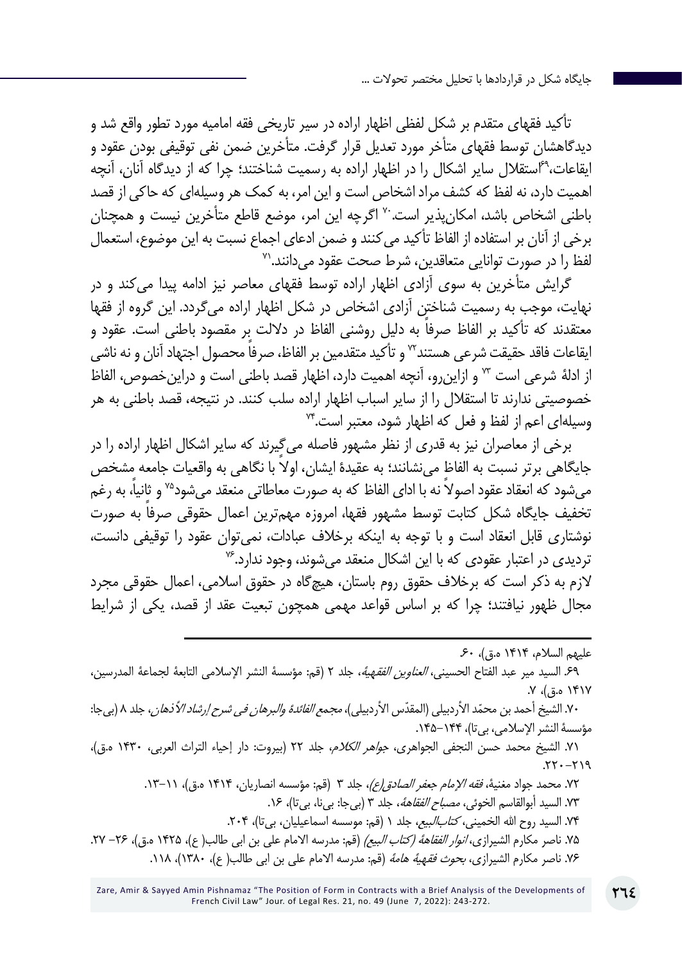تأکید فقهای متقدم بر شکل لفظی اظهار اراده در سیر تاریخی فقه امامیه مورد تطور واقع شد و دیدگاهشان توسط فقهای متأخر مورد تعدیل قرار گرفت. متأخرین ضمن نفی توقیفی بودن عقود و ایقاعات69،استقالل سایر اشکال را در اظهار اراده به رسمیت شناختند؛ چرا که از دیدگاه آنان، آنچه اهمیت دارد، نه لفظ که کشف مراد اشخاص است و این امر، به کمک هر وسیلهای که حاکی از قصد باطنی اشخاص باشد، امکانپذیر است70. اگرچه این امر، موضع قاطع متأخرین نیست و همچنان برخی از آنان بر استفاده از الفاظ تأکید می *ک*نند و ضمن ادعای اجماع نسبت به این موضوع، استعمال<br>لفظ را در صورت توانایی متعاقدین، شرط صحت عقود می دانند.<sup>۷</sup>

گرایش متأخرین به سوی آزادی اظهار اراده توسط فقهای معاصر نیز ادامه پیدا میکند و در نهایت، موجب به رسمیت شناختن آزادی اشخاص در شکل اظهار اراده میگردد. این گروه از فقها ً معتقدند که تأکید بر الفاظ صرفا به دلیل روشنی الفاظ در داللت بر مقصود باطنی است. عقود و ایقاعات فاقد حقیقت شرعی هستند™ و تأکید متقدمین بر الفاظ، صرفاً محصول اجتهاد آنان و نه ناش*ی* از ادلۀ شرعی است 73 و ازاینرو، آنچه اهمیت دارد، اظهار قصد باطنی است و دراینخصوص، الفاظ خصوصیتی ندارند تا استقالل را از سایر اسباب اظهار اراده سلب کنند. در نتیجه، قصد باطنی به هر وسیلهای اعم از لفظ و فعل که اظهار شود، معتبر است74.

برخی از معاصران نیز به قدری از نظر مشهور فاصله میگیرند که سایر اشکال اظهار اراده را در جایگاهی برتر نسبت به الفاظ مینشانند؛ به عقیدۀ ً ایشان، اوال با نگاهی به واقعیات جامعه مشخص می شود که انعقاد عقود اصولاً نه با ادای الفاظ که به صورت معاطاتی منعقد می شود<sup>۷۵</sup> و ثانیاً، به رغم تخفیف جایگاه شکل کتابت توسط مشهور فقها، امروزه مهم ً ترین اعمال حقوقی صرفا به صورت نوشتاری قابل انعقاد است و با توجه به اینکه برخالف عبادات، نمیتوان عقود را توقیفی دانست، تردیدی در اعتبار عقودی که با این اشکال منعقد می شوند، وجود ندارد.<sup>۷۶</sup>

الزم به ذکر است که برخالف حقوق روم باستان، هیچگاه در حقوق اسالمی، اعمال حقوقی مجرد مجال ظهور نیافتند؛ چرا که بر اساس قواعد مهمی همچون تبعیت عقد از قصد، یکی از شرایط

عليهم السلام، ١۴١۴ ه.ق)، ۶۰. .69 السيد مير عبد الفتاح الحسيني، العناوين الفقهية، جلد 2 )قم: مؤسسة النشر اإلسالمي التابعة لجماعة المدرسين، ۱۴۱۷ ه.ق)، ۷. ٧٠. الشيخ أحمد بن محمّد الأردبيلي (المقدّس الأردبيلي)، *مجمع الفائدة والبرهان في شرح إرشاد الأذهان*، جلد ٨ (بيجا: مؤسسة النشر الإسلامي، بیتا)، ۱۴۴–۱۴۵. ٧١. الشيخ محمد حسن النجفي الجواهري، *جواهر الكلام،* جلد ٢٢ (بيروت: دار إحياء التراث العربي، ١۴٣٠ ه.ق)،  $.77 - 719$ ٧٢. محمد جواد مغنية، *فقه الإمام جعفر الصادق إع)*، جلد ٣ (قم: مؤسسه انصاريان، ١٤١۴ ه.ق)، ١١-١٣. ٧٣. السيد أبوالقاسم الخوئ*ی، مصباح الفقاههٔ*، جلد ٣ (بیجا: بیi، بیتا)، ١۶. ۷۴. السيد روح الله الخميني، *کتابالبيع*، جلد ۱ (قم: موسسه اسماعيليان، بي تا)، ۲۰۴. 78. ناصر مكارم الشيرازي، *انوار الفقاهة (كتاب البيع)* (قم: مدرسه الامام على بن ابى طالب( ع)، ١۴٢۵ ه.ق)، ٢۶– ٢٧. ۷۶. ناصر مكارم الشيرازي، *بحوث فقهية هامة* (قم: مدرسه الامام على بن ابي طالب(ع)، ۱۲۸۰)، ۱۱۸.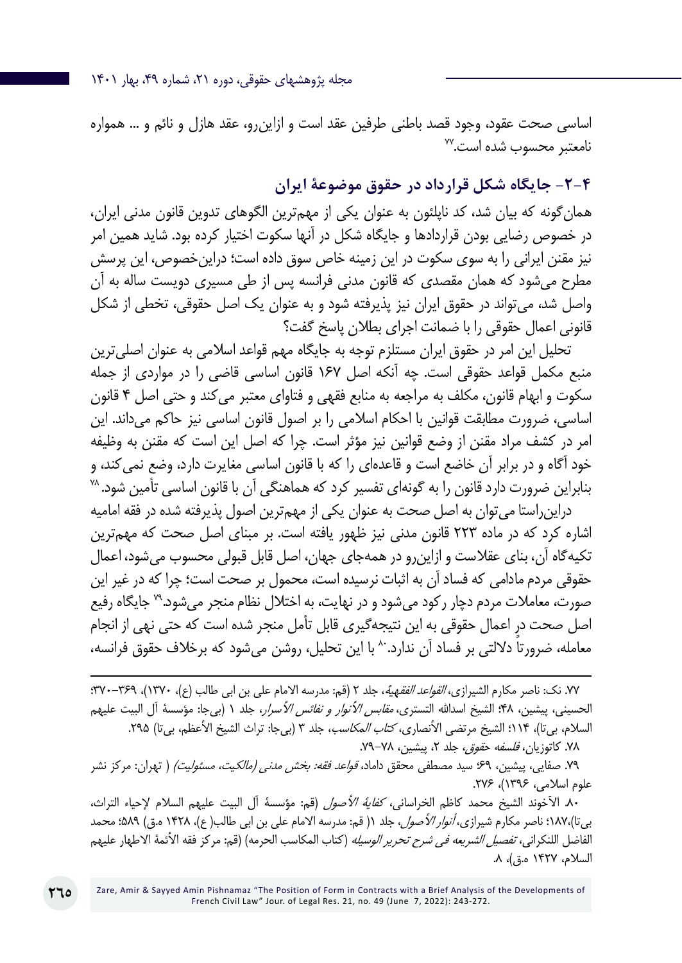اساسی صحت عقود، وجود قصد باطنی طرفین عقد است و ازاینرو، عقد هازل و نائم و ... همواره<br>نامعتبر محسوب شده است.<sup>۷۷</sup>

**-2-4 جایگاه شکل قرارداد در حقوق موضوعۀ ایران**

همانگونه که بیان شد، کد ناپلئون به عنوان یکی از مهمترین الگوهای تدوین قانون مدنی ایران، در خصوص رضایی بودن قراردادها و جایگاه شکل در آنها سکوت اختیار کرده بود. شاید همین امر نیز مقنن ایرانی را به سوی سکوت در این زمینه خاص سوق داده است؛ دراینخصوص، این پرسش مطرح میشود که همان مقصدی که قانون مدنی فرانسه پس از طی مسیری دویست ساله به آن واصل شد، میتواند در حقوق ایران نیز پذیرفته شود و به عنوان یک اصل حقوقی، تخطی از شکل قانونی اعمال حقوقی را با ضمانت اجرای بطالن پاسخ گفت؟

تحلیل این امر در حقوق ایران مستلزم توجه به جایگاه مهم قواعد اسلامی به عنوان اصلی ترین منبع مکمل قواعد حقوقی است. چه آنکه اصل 167 قانون اساسی قاضی را در مواردی از جمله سکوت و ابهام قانون، مکلف به مراجعه به منابع فقهی و فتاوای معتبر میکند و حتی اصل 4 قانون اساسی، ضرورت مطابقت قوانین با احکام اسالمی را بر اصول قانون اساسی نیز حاکم میداند. این امر در کشف مراد مقنن از وضع قوانین نیز مؤثر است. چرا که اصل این است که مقنن به وظیفه خود آگاه و در برابر آن خاضع است و قاعدهای را که با قانون اساسی مغایرت دارد، وضع نمی کند، و<br>بنابراین ضرورت دارد قانون را به گونهای تفسیر کرد که هماهنگی آن با قانون اساسی تأمین شود. <sup>۷۸</sup>

دراینراستا میتوان به اصل صحت به عنوان یکی از مهمترین اصول پذیرفته شده در فقه امامیه اشاره کرد که در ماده 223 قانون مدنی نیز ظهور یافته است. بر مبنای اصل صحت که مهمترین تکیهگاه آن، بنای عقالست و ازاینرو در همهجای جهان، اصل قابل قبولی محسوب میشود، اعمال حقوقی مردم مادامی که فساد آن به اثبات نرسیده است، محمول بر صحت است؛ چرا که در غیر این صورت، معامالت مردم دچار رکود میشود و در نهایت، به اختالل نظام منجر میشود79. جایگاه رفیع اصل صحت در اعمال حقوقی به این نتیجهگیری قابل تأمل منجر شده است که حتی نهی از انجام معامله، ضرورتاً دلالتی بر فساد آن ندارد. ^ با این تحلیل، روشن می شود که برخلاف حقوق فرانسه،

.7Y نک: ناصر مکارم الشیرازی، *القواعد الفقهية*، جلد ٢ (قم: مدرسه الامام على بن ابى طالب (ع)، ١٣٧٠)، ٣٦٩-٢٢٠؛ الحسيني، پیشین، ۴۸؛ الشيخ اسدالله التستري، *مقابس الأنوار و نفائس الأسرار*، جلد ۱ (بي جا: مؤسسة آل البيت عليهم السلام، بی¤ا)، ۱۱۴؛ الشيخ مرتضى الأنصاري*، كتاب المكاسب*، جلد ٣ (بی¢ا: تراث الشيخ الأعظم، بی¤ا) ٢٩۵. ۷۸. کاتوزیان، *فلسفه حقوق،* جلد ۲، پیشین، ۷۸–۷۹.

٧٩. صفایی، پیشین، ۶۹؛ سید مصطفی محقق داماد، *قواعد فقه: بخش مدنی (مالکیت، مسئولیت)* ( تهران: مرکز نشر علوم اسلامی، ۱۳۹۶)، ۲۷۶.

٨٠. الآخوند الشيخ محمد كاظم الخراساني، *كفاية الأصول* (قم: مؤسسة آل البيت عليهم السلام لإحياء التراث، بی تا)،۱۸۷، ناصر مکارم شیرازی، *أنوار الأصول*، جلد ١( قم: مدرسه الامام على بن ابى طالب(ع)، ١۴٢٨ ه.ق) ۵۸۹؛ محمد الفاضل اللنكرانی، *تفصیل الشریعه فی شرح تحریر الوسیله* (كتاب المكاسب الحرمه) (قم: مركز فقه الأئمة الاطهار علیهم السلام، ۱۴۲۷ ه.ق)، ۸.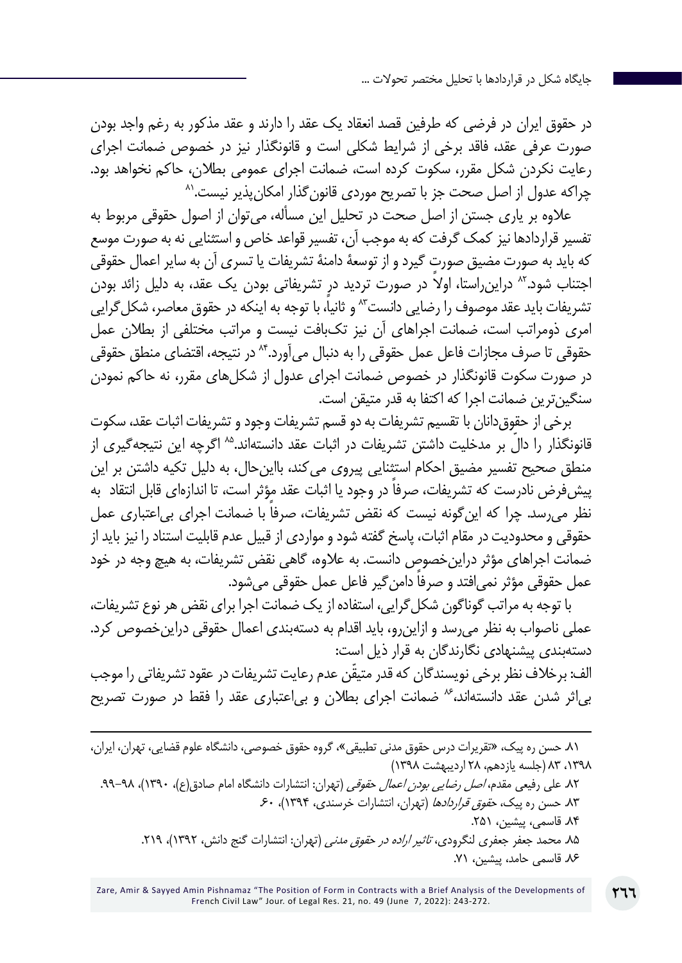در حقوق ایران در فرضی که طرفین قصد انعقاد یک عقد را دارند و عقد مذکور به رغم واجد بودن صورت عرفی عقد، فاقد برخی از شرایط شکلی است و قانونگذار نیز در خصوص ضمانت اجرای رعایت نکردن شکل مقرر، سکوت کرده است، ضمانت اجرای عمومی بطلان، حاکم نخواهد بود.<br>چراکه عدول از اصل صحت جز با تصریح موردی قانون *گ*ذار امکان بذیر نیست.<sup>۸۸</sup>

عالوه بر یاری جستن از اصل صحت در تحلیل این مسأله، میتوان از اصول حقوقی مربوط به تفسیر قراردادها نیز کمک گرفت که به موجب آن، تفسیر قواعد خاص و استثنایی نه به صورت موسع که باید به صورت مضیق صورت گیرد و از توسعۀ دامنۀ تشریفات یا تسری آن به سایر اعمال حقوقی اجتناب شود.<sup>۸۲</sup> دراین راستا، اولا در صورت تردید در تشریفاتی بودن یک عقد، به دلیل زائد بودن تشریفات باید عقد موصوف را رضایی دانست<sup>۸</sup>۲ و ثانیاً، با توجه به اینکه در حقوق معاصر، شکل *گ*رایی امری ذومراتب است، ضمانت اجراهای آن نیز تکبافت نیست و مراتب مختلفی از بطالن عمل حقوقی تا صرف مجازات فاعل عمل حقوقی را به دنبال میآورد84. در نتیجه، اقتضای منطق حقوقی در صورت سکوت قانونگذار در خصوص ضمانت اجرای عدول از شکلهای مقرر، نه حاکم نمودن سنگینترین ضمانت اجرا که اکتفا به قدر متیقن است.

برخی از حقوقدانان با تقسیم تشریفات به دو قسم تشریفات وجود و تشریفات اثبات عقد، سکوت قانونگذار را دالٌ بر مدخلیت داشتن تشریفات در اثبات عقد دانستهاند.<sup>۸۵</sup> اگرچه این نتیجهگیری از منطق صحیح تفسیر مضیق احکام استثنایی پیروی میکند، بااینحال، به دلیل تکیه داشتن بر این پیش فرض نادرست که تشریفات، صرفاً در وجود یا اثبات عقد مؤثر است، تا اندازهای قابل انتقاد به نظر می رسد. چرا که این گونه نیست که نقض تشریفات، صرفاً با ضمانت اجرای بی اعتباری عمل حقوقی و محدودیت در مقام اثبات، پاسخ گفته شود و مواردی از قبیل عدم قابلیت استناد را نیز باید از ضمانت اجراهای مؤثر دراینخصوص دانست. به عالوه، گاهی نقض تشریفات، به هیچ وجه در خود عمل حقوقی مؤثر نمی افتد و صرفا دامن گیر فاعل عمل حقوقی می شود.

با توجه به مراتب گوناگون شکلگرایی، استفاده از یک ضمانت اجرا برای نقض هر نوع تشریفات، عملی ناصواب به نظر میرسد و ازاینرو، باید اقدام به دستهبندی اعمال حقوقی دراینخصوص کرد. دستهبندی پیشنهادی نگارندگان به قرار ذیل است:

ّ الف: برخالف نظر برخی نویسندگان که قدر متیقن عدم رعایت تشریفات در عقود تشریفاتی را موجب بیاثر شدن عقد دانستهاند، <sup>4</sup> ضمانت اجرای بطلان و بی|عتباری عقد را فقط در صورت تصریح

<sup>.81</sup> حسن ره پیک، »تقریرات درس حقوق مدنی تطبیقی«، گروه حقوق خصوصی، دانشگاه علوم قضایی، تهران، ایران، ،1398 83 )جلسه یازدهم، 28 اردیبهشت 1398(

۸۲ علی رفیعی مقدم، *اصل رضایی بودن اعمال حقوقی* (تهران: انتشارات دانشگاه امام صادق(ع)، ۱۳۹۰)، ۹۸–۹۹. ۸۳. حسن ره پیک*، حقوق قراردادها* (تهران، انتشارات خرسندی، ۱۳۹۴)، ۶۰. .84 قاسمی، پیشین، .251 ۸۵. محمد جعفر جعفری لنگرودی، *تاثیر اراده در حقوق مدنی* (تهران: انتشارات گنج دانش، ۱۳۹۲)، ۲۱۹. .86 قاسمی حامد، پیشین، .71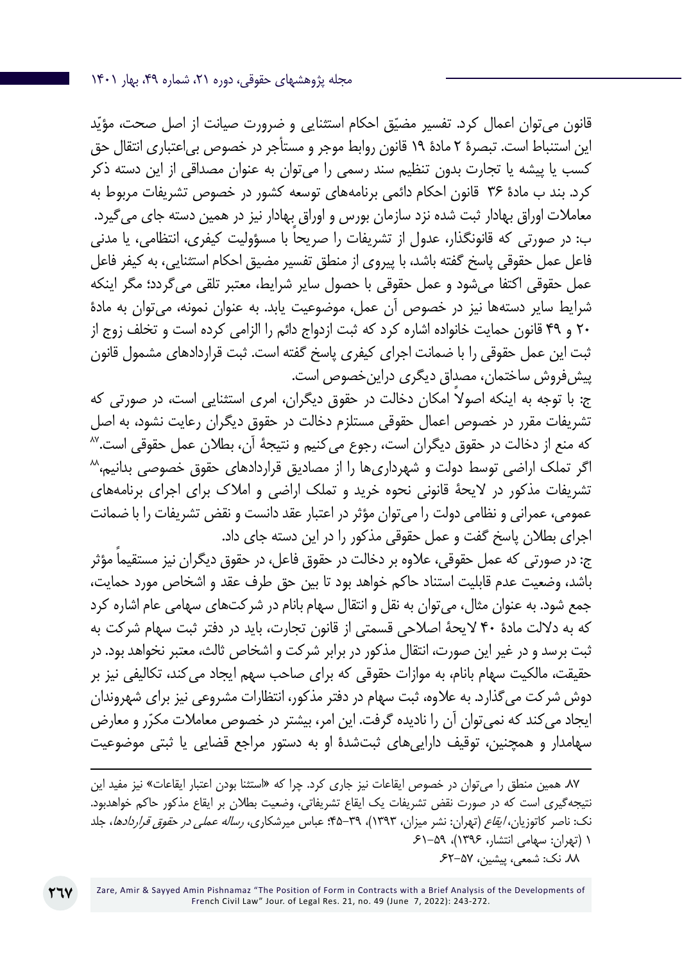قانون می توان اعمال کرد. تفسیر مضیّق احکام استثنایی و ضرورت صیانت از اصل صحت، مؤیّد این استنباط است. تبصرۀ 2 مادۀ 19 قانون روابط موجر و مستأجر در خصوص بیاعتباری انتقال حق کسب یا پیشه یا تجارت بدون تنظیم سند رسمی را میتوان به عنوان مصداقی از این دسته ذکر کرد. بند ب مادۀ 36 قانون احکام دائمی برنامههای توسعه کشور در خصوص تشریفات مربوط به معامالت اوراق بهادار ثبت شده نزد سازمان بورس و اوراق بهادار نیز در همین دسته جای میگیرد. ً ب: در صورتی که قانونگذار، عدول از تشریفات را صریحا با مسؤولیت کیفری، انتظامی، یا مدنی فاعل عمل حقوقی پاسخ گفته باشد، با پیروی از منطق تفسیر مضیق احکام استثنایی، به کیفر فاعل عمل حقوقی اکتفا میشود و عمل حقوقی با حصول سایر شرایط، معتبر تلقی میگردد؛ مگر اینکه شرایط سایر دستهها نیز در خصوص آن عمل، موضوعیت یابد. به عنوان نمونه، میتوان به مادۀ 20 و 49 قانون حمایت خانواده اشاره کرد که ثبت ازدواج دائم را الزامی کرده است و تخلف زوج از ثبت این عمل حقوقی را با ضمانت اجرای کیفری پاسخ گفته است. ثبت قراردادهای مشمول قانون پیشفروش ساختمان، مصداق دیگری دراینخصوص است.

ً ج: با توجه به اینکه اصوال امکان دخالت در حقوق دیگران، امری استثنایی است، در صورتی که تشریفات مقرر در خصوص اعمال حقوقی مستلزم دخالت در حقوق دیگران رعایت نشود، به اصل که منع از دخالت در حقوق دیگران است، رجوع می کنیم و نتیجهٔ آن، بطلان عمل حقوقی است.<sup>۸۷</sup><br>اگر تملک اراضی توسط دولت و شهرداری۱ه را از مصادیق قراردادهای حقوق خصوصی بدانیم،<sup>۸۸</sup> تشریفات مذکور در اليحۀ قانوني نحوه خريد و تملك اراضي و امالك براي اجراي برنامههای عمومي، عمراني و نظامي دولت را میتوان مؤثر در اعتبار عقد دانست و نقض تشریفات را با ضمانت اجرای بطالن پاسخ گفت و عمل حقوقی مذکور را در این دسته جای داد.

ً ج: در صورتی که عمل حقوقی، عالوه بر دخالت در حقوق فاعل، در حقوق دیگران نیز مستقیما مؤثر باشد، وضعیت عدم قابلیت استناد حاکم خواهد بود تا بین حق طرف عقد و اشخاص مورد حمایت، جمع شود. به عنوان مثال، میتوان به نقل و انتقال سهام بانام در شرکتهای سهامی عام اشاره کرد که به داللت مادۀ 40 الیحۀ اصالحی قسمتی از قانون تجارت، باید در دفتر ثبت سهام شرکت به ثبت برسد و در غیر این صورت، انتقال مذکور در برابر شرکت و اشخاص ثالث، معتبر نخواهد بود. در حقیقت، مالکیت سهام بانام، به موازات حقوقی که برای صاحب سهم ایجاد میکند، تکالیفی نیز بر دوش شرکت میگذارد. به عالوه، ثبت سهام در دفتر مذکور، انتظارات مشروعی نیز برای شهروندان ایجاد می کند که نمی توان آن را نادیده گرفت. این امر، بیشتر در خصوص معاملات مکرّر و معارض سهامدار و همچنین، توقیف داراییهای ثبتشدۀ او به دستور مراجع قضایی یا ثبتی موضوعیت

.87 همین منطق را میتوان در خصوص ایقاعات نیز جاری کرد. چرا که »استثنا بودن اعتبار ایقاعات« نیز مفید این نتیجهگیری است که در صورت نقض تشریفات یک ایقاع تشریفاتی، وضعیت بطالن بر ایقاع مذکور حاکم خواهدبود. نک: ناصر کاتوزیان، ایقاع )تهران: نشر میزان، 1393(، 45-39؛ عباس میرشکاری، رساله عملی در حقوق قراردادها، جلد 1 )تهران: سهامی انتشار، 1396(، .61-59 .88 نک: شمعی، پیشین، .62-57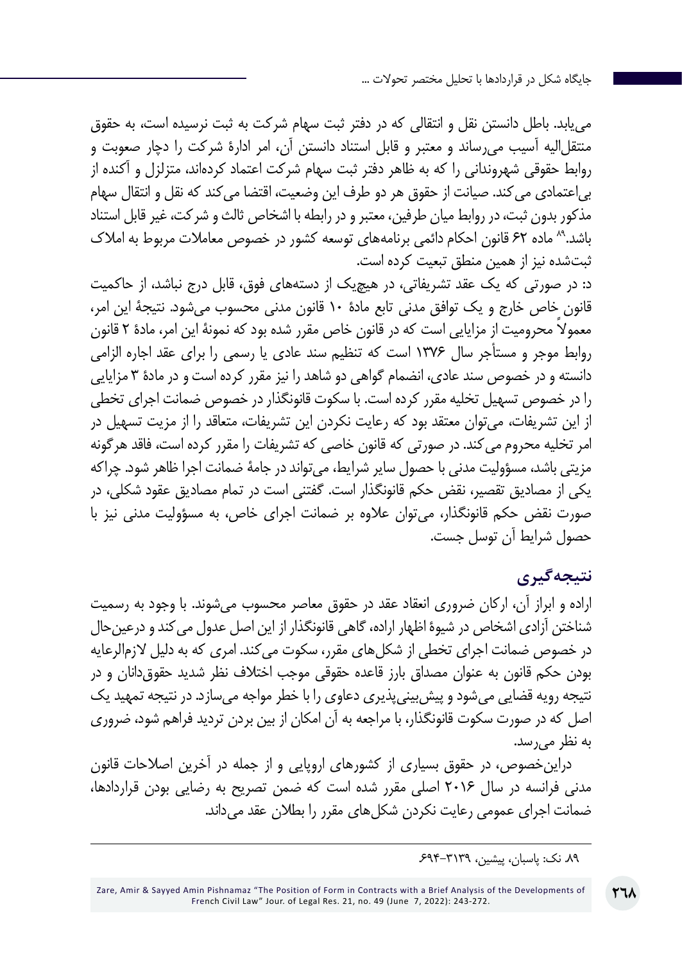مییابد. باطل دانستن نقل و انتقالی که در دفتر ثبت سهام شرکت به ثبت نرسیده است، به حقوق منتقلالیه آسیب میرساند و معتبر و قابل استناد دانستن آن، امر ادارۀ شرکت را دچار صعوبت و روابط حقوقی شهروندانی را که به ظاهر دفتر ثبت سهام شرکت اعتماد کردهاند، متزلزل و آکنده از بیاعتمادی میکند. صیانت از حقوق هر دو طرف این وضعیت، اقتضا میکند که نقل و انتقال سهام مذکور بدون ثبت، در روابط میان طرفین، معتبر و در رابطه با اشخاص ثالث و شرکت، غیر قابل استناد باشد89. ماده 62 قانون احکام دائمی برنامههای توسعه کشور در خصوص معامالت مربوط به امالک ثبتشده نیز از همین منطق تبعیت کرده است.

د: در صورتی که یک عقد تشریفاتی، در هیچیک از دستههای فوق، قابل درج نباشد، از حاکمیت قانون خاص خارج و یک توافق مدنی تابع مادۀ 10 قانون مدنی محسوب میشود. نتیجۀ این امر، ً معموال محرومیت از مزایایی است که در قانون خاص مقرر شده بود که نمونۀ این امر، مادۀ 2 قانون روابط موجر و مستأجر سال 1376 است که تنظیم سند عادی یا رسمی را برای عقد اجاره الزامی دانسته و در خصوص سند عادی، انضمام گواهی دو شاهد را نیز مقرر کرده است و در مادۀ 3 مزایایی را در خصوص تسهیل تخلیه مقرر کرده است. با سکوت قانونگذار در خصوص ضمانت اجرای تخطی از این تشریفات، میتوان معتقد بود که رعایت نکردن این تشریفات، متعاقد را از مزیت تسهیل در امر تخلیه محروم میکند. در صورتی که قانون خاصی که تشریفات را مقرر کرده است، فاقد هرگونه مزیتی باشد، مسؤولیت مدنی با حصول سایر شرایط، میتواند در جامۀ ضمانت اجرا ظاهر شود. چراکه یکی از مصادیق تقصیر، نقض حکم قانونگذار است. گفتنی است در تمام مصادیق عقود شکلی، در صورت نقض حکم قانونگذار، میتوان عالوه بر ضمانت اجرای خاص، به مسؤولیت مدنی نیز با حصول شرایط آن توسل جست.

#### **نتیجهگیری**

اراده و ابراز آن، ارکان ضروری انعقاد عقد در حقوق معاصر محسوب میشوند. با وجود به رسمیت شناختن آزادی اشخاص در شیوۀ اظهار اراده، گاهی قانونگذار از این اصل عدول میکند و درعینحال در خصوص ضمانت اجرای تخطی از شکلهای مقرر، سکوت می کند. امری که به دلیل لازمالرعایه بودن حکم قانون به عنوان مصداق بارز قاعده حقوقی موجب اختالف نظر شدید حقوقدانان و در نتیجه رویه قضایی میشود و پیشبینیپذیری دعاوی را با خطر مواجه میسازد. در نتیجه تمهید یک اصل که در صورت سکوت قانونگذار، با مراجعه به آن امکان از بین بردن تردید فراهم شود، ضروری به نظر میرسد.

دراینخصوص، در حقوق بسیاری از کشورهای اروپایی و از جمله در آخرین اصالحات قانون مدنی فرانسه در سال 2016 اصلی مقرر شده است که ضمن تصریح به رضایی بودن قراردادها، ضمانت اجرای عمومی رعایت نکردن شکلهای مقرر را بطالن عقد میداند.

<sup>.89</sup> نک: پاسبان، پیشین، .694-3139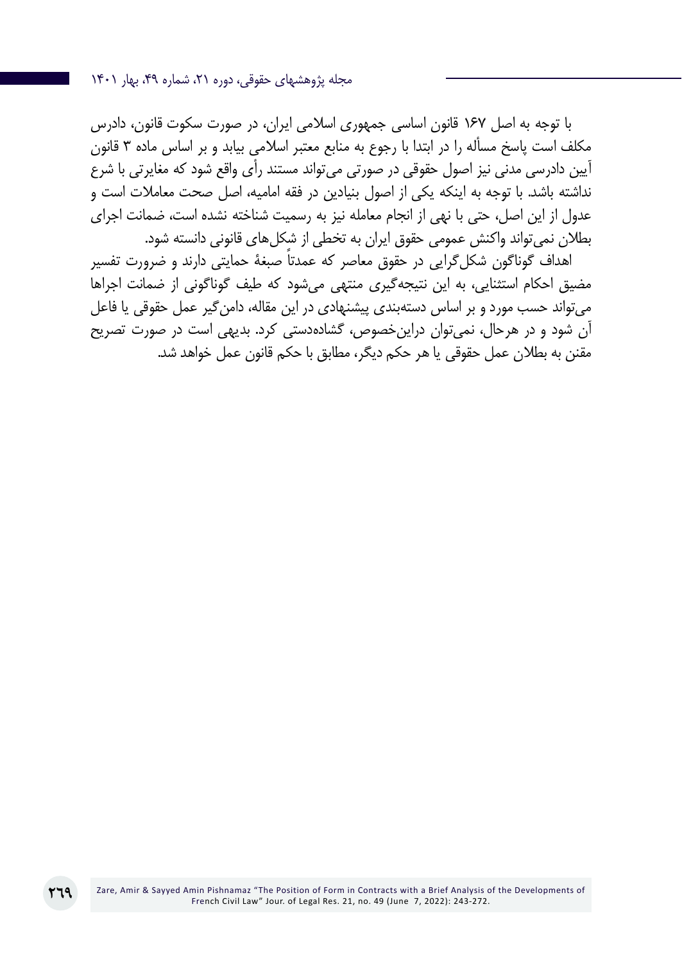مجله پژوهشهای حقوقی، دوره ،21 شماره ،49 بهار 1401

با توجه به اصل 167 قانون اساسی جمهوری اسالمی ایران، در صورت سکوت قانون، دادرس مکلف است پاسخ مسأله را در ابتدا با رجوع به منابع معتبر اسالمی بیابد و بر اساس ماده 3 قانون آیین دادرسی مدنی نیز اصول حقوقی در صورتی میتواند مستند رأی واقع شود که مغایرتی با شرع نداشته باشد. با توجه به اینکه یکی از اصول بنیادین در فقه امامیه، اصل صحت معامالت است و عدول از این اصل، حتی با نهی از انجام معامله نیز به رسمیت شناخته نشده است، ضمانت اجرای بطالن نمیتواند واکنش عمومی حقوق ایران به تخطی از شکلهای قانونی دانسته شود.

اهداف گوناگون شکل ً گرایی در حقوق معاصر که عمدتا صبغۀ حمایتی دارند و ضرورت تفسیر مضیق احکام استثنایی، به این نتیجهگیری منتهی میشود که طیف گوناگونی از ضمانت اجراها میتواند حسب مورد و بر اساس دستهبندی پیشنهادی در این مقاله، دامنگیر عمل حقوقی یا فاعل آن شود و در هرحال، نمیتوان دراینخصوص، گشادهدستی کرد. بدیهی است در صورت تصریح مقنن به بطالن عمل حقوقی یا هر حکم دیگر، مطابق با حکم قانون عمل خواهد شد.

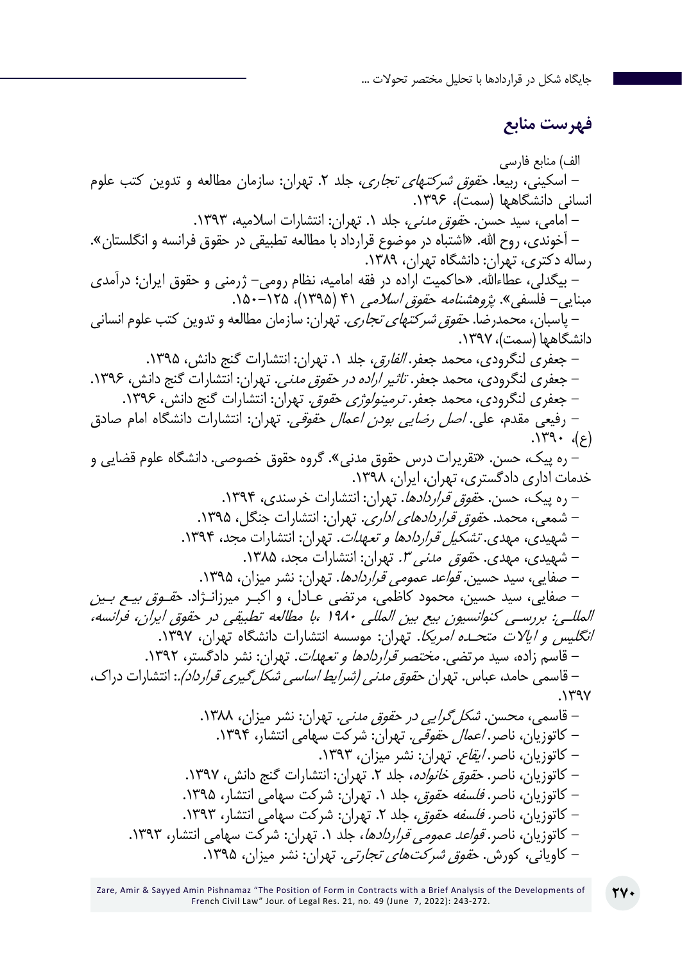## **فهرست منابع**

الف) منابع فارسی - اسکینی، ربیعا. حقوق شرکتهای تجاری، جلد .2 تهران: سازمان مطالعه و تدوین کتب علوم انسانی دانشگاهها (سمت)، ۱۳۹۶. - امامی، سید حسن. ح*قوق مدنی،* جلد ۱. تهران: انتشارات اسلامیه، ۱۳۹۳. - آخوندی، روح اهلل. »اشتباه در موضوع قرارداد با مطالعه تطبیقی در حقوق فرانسه و انگلستان«. رساله دکتری، تهران: دانشگاه تهران، .1389 - بیگدلی، عطاءاهلل. »حاکمیت اراده در فقه امامیه، نظام رومی- ژرمنی و حقوق ایران؛ درآمدی مبنایی- فلسفی»*. پژوهشنامه حقوق اسلامی* ۴۱ (۱۳۹۵)، ۱۵۰–۱۵۰. - پاسبان، محمدرضا. حقوق شرکتهای تجاری. تهران: سازمان مطالعه و تدوین کتب علوم انسانی دانشگاهها (سمت)، ۱۳۹۷. - جعفری لنگرودی، محمد جعفر. *الفارق،* جلد ۱. تهران: انتشارات گنج دانش، ۱۳۹۵. - جعفری لنگرودی، محمد جعفر. *تاثیر اراده در حقوق مدنی.* تهران: انتشارات گنج دانش، ۱۳۹۶. - جعفری لنگرودی، محمد جعفر. *ترمینولوژی حقوق.* تهران: انتشارات گنج دانش، ۱۳۹۶. - رفیعی مقدم، علی. اصل رضایی بودن اعمال حقوقی. تهران: انتشارات دانشگاه امام صادق  $\langle 3 \rangle$ ,  $\gamma$ ۳۹۰ - ره پیک، حسن. »تقریرات درس حقوق مدنی«. گروه حقوق خصوصی. دانشگاه علوم قضایی و خدمات اداری دادگستری، تهران، ایران، .1398 - ره پیک، حسن. ح*قوق قراردادها*. تهران: انتشارات خرسندی، ۱۳۹۴. – شمعی، محمد. ح*قوق قراردادهای اداری*. تهران: انتشارات جنگل، ۱۳۹۵. – شهیدی، مهدی. *تشکیل قراردادها و تعهدات*. تهران: انتشارات مجد، ۱۳۹۴. - شهیدی، مهدی. ح*قوق مدنی ۳.* تهران: انتشارات مجد، ۱۳۸۵. - صفایی، سید حسین. قواعد عمومی قراردادها. تهران: نشر میزان، .1395 - صفایی، سید حسین، محمود کاظمی، مرتضی عـادل، و اکبـر میرزانـژاد. حقـوق بیـع بـین المللـی: بررسـی کنوانسیون بیع بین المللی 1980 ،با مطالعه تطبیقی در حقوق ایران، فرانسه، *انگلیس و ایالات متحـده امریکا*. تهران: موسسه انتشارات دانشگاه تهران، ۱۳۹۷. - قاسم زاده، سید مرتضی. مختصر قراردادها و تعهدات. تهران: نشر دادگستر، .1392 – قاسمی حامد، عباس. تهران ح*قوق مدنی (شرایط اساسی شکل گیری قرارد(د).*: انتشارات دراک،  $.1497$ – قاسمی، محسن. *شکل گرایی در حقوق مدنی.* تهران: نشر میزان، ۱۳۸۸. – کاتوزیان، ناصر. *اعمال حقوقی*. تهران: شرکت سهامی انتشار، ۱۳۹۴. – کاتوزیان، ناصر. *ایقاع*. تهران: نشر میزان، ۱۳۹۳. - کاتوزیان، ناصر. ح*قوق خانواده*، جلد ۲. تهران: انتشارات گنج دانش، ۱۳۹۷. - کاتوزیان، ناصر. *فلسفه حقوق،* جلد ١. تهران: شرکت سهامی انتشار، ١٣٩۵. – کاتوزیان، ناصر*. فلسفه حقوق*، جلد ۲. تهران: شرکت سهامی انتشار، ۱۳۹۳. - کاتوزیان، ناصر. قواعد عمومی قراردادها، جلد .1 تهران: شرکت سهامی انتشار، .1393 - کاویانی، کورش. حقوق شرکتهای تجارتی. تهران: نشر میزان، .1395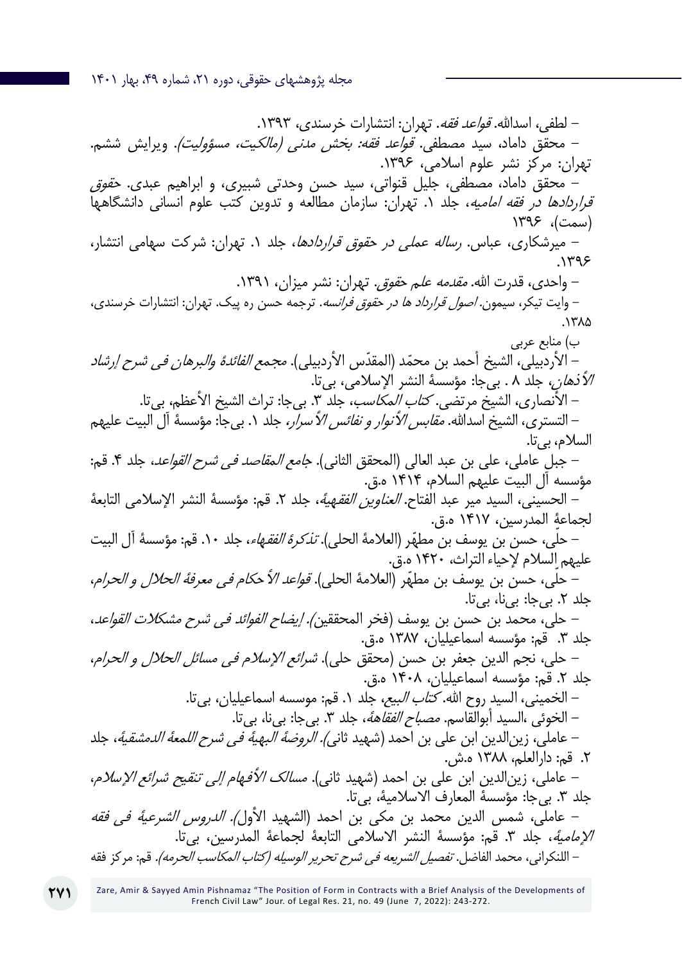مجله پژوهشهای حقوقی، دوره ۲۱، شماره ۴۹، بهار ۱۴۰۱

- لطفی، اسدالله. قو*اعد فقه*. تهران: انتشارات خرسندی، ۱۳۹۳. - محقق داماد، سید مصطفی. *قواعد فقه: بخش مدنی (مالکیت، مسؤولیت)*. ویرایش ششم. تهران: مرکز نشر علوم اسالمی، .1396 - محقق داماد، مصطفی، جلیل قنواتی، سید حسن وحدتی شبیری، و ابراهیم عبدی. حقوق قر*اردادها در فقه امامیه*، جلد ۰. تهران: سازمان مطالعه و تدوین کتب علوم انسانی دانشگاهها (سمت)، ۱۳۹۶ - میرشکاری، عباس. رساله عملی در حقوق قراردادها، جلد .1 تهران: شرکت سهامی انتشار،  $.1195$ - واحدی، قدرت الله. *مقدمه علم حقوق.* تهران: نشر میزان، ۱۳۹۱. - وایت تیکر، سیمون. اصول قرارداد ها در حقوق فرانسه. ترجمه حسن ره پیک. تهران: انتشارات خرسندی،  $.17<sub>0</sub>$ ب) منابع عربی – الأردبيلي، الشيخ أحمد بن محمّد (المقدّس الأردبيلي). *مجمع الفائدة والبرهان في شرح إرشاد* الأنه*ان*، جلد ٨ . بیجا: مؤسسهٔ النشر الإسلامي، بي تا. – الأنصاري، الشيخ مرتضى. *كتاب المكاسب*، جلد ٣. بي جا: تراث الشيخ الأعظم، بي تا. – التستری، الشيخ اسدالله. *مقابس الأنوار و نفائس الأسرار،* جلد ١. بیجا: مؤسسهٔ آل البيت عليهم السالم، بیتا. – جبل عاملی، علی بن عبد العالی (المحقق الثانی). *جامع المقاصد في شرح القواعد*، جلد ۴. قم: مؤسسه آل البيت عليهم السالم، 1414 ه.ق. – الحسيني، السيد مير عبد الفتاح. *العناوين الفقهية*، جلد ٢. قم: مؤسسة النشر الإسلامي التابعة لجماعة المدرسين، 1417 ه.ق. – حلّى، حسن بن يوسف بن مطهّر (العلامهٔ الحلى). *تذكرهٔ الفقهاء*، جلد ١٠. قم: مؤسسهٔ آل البيت عليهم السلام لإحياء التراث، ١۴٢٠ ه.ق. – حلّى، حسن بن يوسف بن مطهّر (العلامة الحلي). *قواعد الأحكام في معرفة الحلال و الحرام*، جلد ۲. بی جا: بی نا، بی تا. – حلي، محمد بن حسن بن يوسف (فخر المحققين*). إيضاح الفوائد في شرح مشكلات القواعد*، جلد ٣. قم: مؤسسه اسماعيليان، ١٣٨٧ ه.ق. - حلي، نجم الدين جعفر بن حسن (محقق حلي). *شرائع الإسلام في مسائل الحلال و الحرام*، جلد ٢. قم: مؤسسه اسماعيليان، ١۴٠٨ ه.ق. – الخميني، السيد روح الله. *کتاب البيع،* جلد ١. قم: موسسه اسماعيليان، بي تا. – الخوئی ،السيد أبوالقاسم. *مصباح الفقاههٔ*، جلد ٣. بی جا: بی نا، بی تا. – عاملي، زين|لدين ابن علي بن احمد (شهيد ثاني*). الروضة البهية في شرح اللمعة الدمشقية*، جلد .2 قم: دارالعلم، 1388 ه.ش. – عاملی، زین|لدین ابن علی بن احمد (شهید ثانی). *مسالک الأفهام إلى تنقيح شرائع الإسلام*، جلد ٣. بي جا: مؤسسة المعارف الاسلامية، بي تا. - عاملی، شمس الدین محمد بن مکی بن احمد )الشهيد األول(. الدروس الشرعية في فقه ا*لإمامية*، جلد ٣. قم: مؤسسة النشر الاسلامي التابعة لجماعة المدرسين، بي تا. – اللنكرانی، محمد الفاضل. *تفصیل الشریعه فی شرح تحریر الوسیله (كتاب المكاسب الحرمه).* قم: مركز فقه